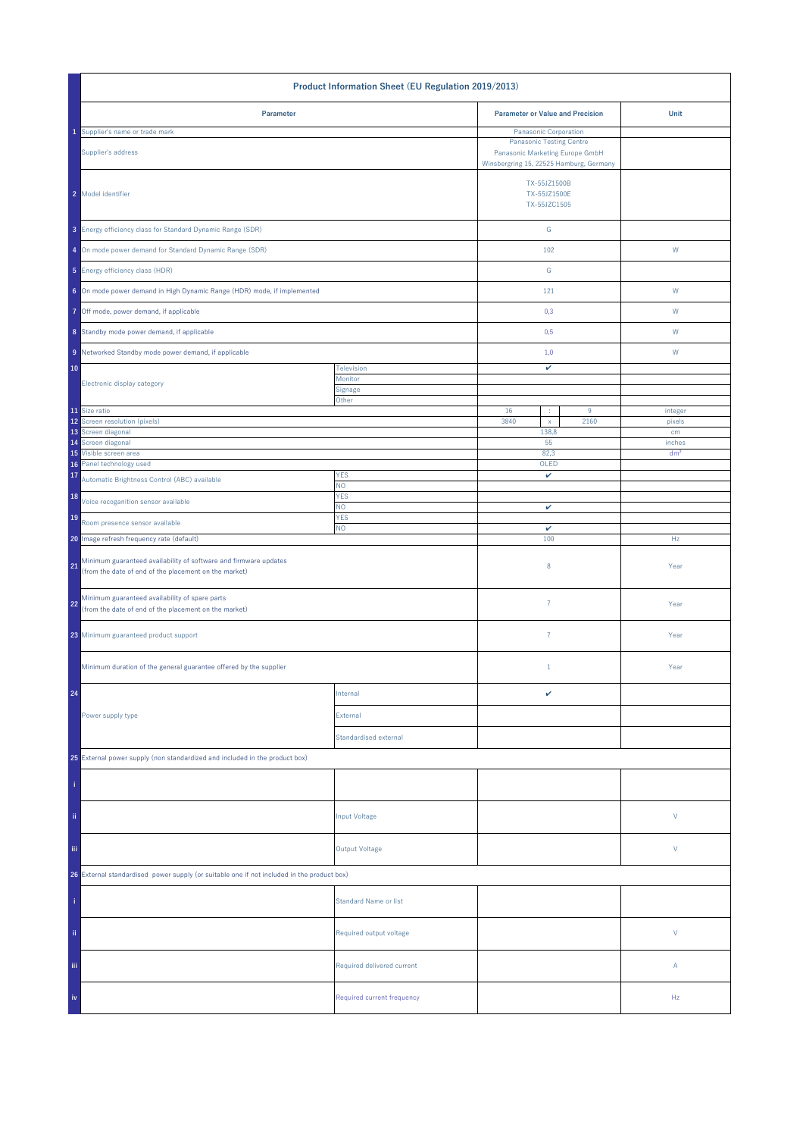| Product Information Sheet (EU Regulation 2019/2013)                                                                             |                                                                                                               |                                         |                                              |                 |
|---------------------------------------------------------------------------------------------------------------------------------|---------------------------------------------------------------------------------------------------------------|-----------------------------------------|----------------------------------------------|-----------------|
| Parameter                                                                                                                       |                                                                                                               | <b>Parameter or Value and Precision</b> |                                              | Unit            |
| Supplier's name or trade mark                                                                                                   |                                                                                                               | Panasonic Corporation                   |                                              |                 |
| Supplier's address                                                                                                              | <b>Panasonic Testing Centre</b><br>Panasonic Marketing Europe GmbH<br>Winsbergring 15, 22525 Hamburg, Germany |                                         |                                              |                 |
| 2 Model identifier                                                                                                              |                                                                                                               |                                         | TX-55JZ1500B<br>TX-55JZ1500E<br>TX-55JZC1505 |                 |
| 3 Energy efficiency class for Standard Dynamic Range (SDR)                                                                      |                                                                                                               | ${\mathbb G}$                           |                                              |                 |
| 4 On mode power demand for Standard Dynamic Range (SDR)                                                                         |                                                                                                               | 102                                     |                                              | ${\sf W}$       |
| 5 Energy efficiency class (HDR)                                                                                                 |                                                                                                               | ${\mathsf G}$                           |                                              |                 |
| 6 On mode power demand in High Dynamic Range (HDR) mode, if implemented                                                         |                                                                                                               | 121                                     |                                              | W               |
| 7 Off mode, power demand, if applicable                                                                                         |                                                                                                               | 0,3                                     |                                              | W               |
| 8 Standby mode power demand, if applicable                                                                                      |                                                                                                               | 0,5                                     |                                              | W               |
| 9 Networked Standby mode power demand, if applicable                                                                            |                                                                                                               | 1,0                                     |                                              | W               |
| 10                                                                                                                              | Television<br>Monitor                                                                                         | v                                       |                                              |                 |
| Electronic display category                                                                                                     | Signage                                                                                                       |                                         |                                              |                 |
| 11 Size ratio                                                                                                                   | Other                                                                                                         | 16<br>÷                                 | 9                                            | integer         |
| 12 Screen resolution (pixels)                                                                                                   |                                                                                                               | 3840<br>$\mathsf X$                     | 2160                                         | pixels          |
| 13 Screen diagonal<br>14 Screen diagonal                                                                                        |                                                                                                               | 138,8<br>55                             |                                              | cm<br>inches    |
| 15 Visible screen area                                                                                                          |                                                                                                               | 82,3                                    |                                              | dm <sup>2</sup> |
| Panel technology used<br>16                                                                                                     |                                                                                                               | OLED                                    |                                              |                 |
| 17<br>Automatic Brightness Control (ABC) available                                                                              | <b>YES</b><br>NO.                                                                                             | v                                       |                                              |                 |
| 18<br>Voice recoganition sensor available                                                                                       | <b>YES</b><br>NO.                                                                                             | v                                       |                                              |                 |
| 19<br>Room presence sensor available                                                                                            | <b>YES</b><br>NO.                                                                                             | $\checkmark$                            |                                              |                 |
| 20 Image refresh frequency rate (default)                                                                                       |                                                                                                               | 100                                     |                                              | Hz              |
| Minimum guaranteed availability of software and firmware updates<br>21<br>(from the date of end of the placement on the market) |                                                                                                               | 8                                       |                                              | Year            |
| Minimum guaranteed availability of spare parts<br>22<br>(from the date of end of the placement on the market)                   |                                                                                                               | $\overline{7}$                          |                                              | Year            |
| 23 Minimum guaranteed product support                                                                                           |                                                                                                               | $\overline{7}$                          |                                              | Year            |
| Minimum duration of the general guarantee offered by the supplier                                                               |                                                                                                               | $1\,$                                   |                                              | Year            |
| 24                                                                                                                              | Internal                                                                                                      | v                                       |                                              |                 |
| Power supply type                                                                                                               | External                                                                                                      |                                         |                                              |                 |
|                                                                                                                                 | Standardised external                                                                                         |                                         |                                              |                 |
| 25 External power supply (non standardized and included in the product box)                                                     |                                                                                                               |                                         |                                              |                 |
|                                                                                                                                 |                                                                                                               |                                         |                                              |                 |
| ii.                                                                                                                             | <b>Input Voltage</b>                                                                                          |                                         |                                              | $\mathsf{V}$    |
| iii.                                                                                                                            | <b>Output Voltage</b>                                                                                         |                                         |                                              | V               |
| 26 External standardised power supply (or suitable one if not included in the product box)                                      |                                                                                                               |                                         |                                              |                 |
|                                                                                                                                 | <b>Standard Name or list</b>                                                                                  |                                         |                                              |                 |
| ii.                                                                                                                             | Required output voltage                                                                                       |                                         |                                              | V               |
| Ϊij                                                                                                                             | Required delivered current                                                                                    |                                         |                                              | Α               |
| iv                                                                                                                              | Required current frequency                                                                                    |                                         |                                              | Hz              |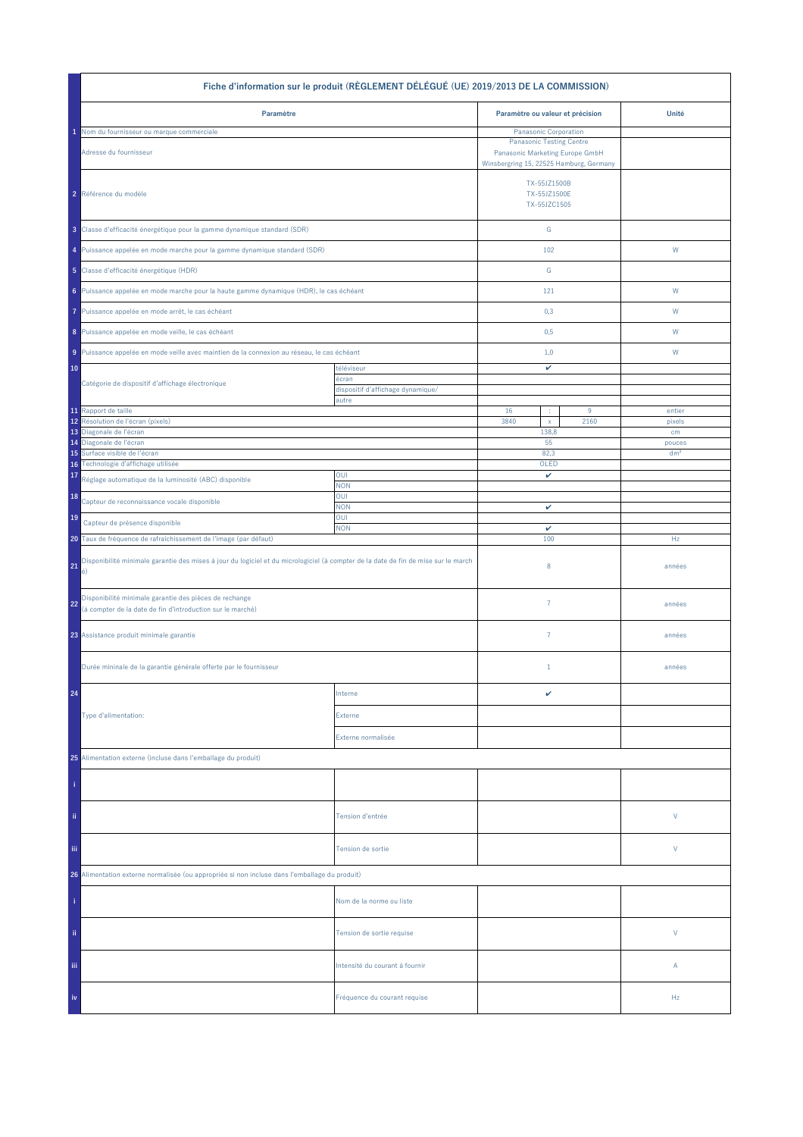| Fiche d'information sur le produit (RÈGLEMENT DÉLÉGUÉ (UE) 2019/2013 DE LA COMMISSION)                                                         |                                                          |                                                                                                               |           |                  |  |  |
|------------------------------------------------------------------------------------------------------------------------------------------------|----------------------------------------------------------|---------------------------------------------------------------------------------------------------------------|-----------|------------------|--|--|
| Paramètre                                                                                                                                      |                                                          | Paramètre ou valeur et précision                                                                              |           | Unité            |  |  |
| Nom du fournisseur ou marque commerciale                                                                                                       |                                                          | Panasonic Corporation                                                                                         |           |                  |  |  |
| Adresse du fournisseur                                                                                                                         |                                                          | <b>Panasonic Testing Centre</b><br>Panasonic Marketing Europe GmbH<br>Winsbergring 15, 22525 Hamburg, Germany |           |                  |  |  |
| 2 Référence du modèle                                                                                                                          |                                                          | TX-55JZ1500B<br>TX-55JZ1500E<br>TX-55JZC1505                                                                  |           |                  |  |  |
| 3 Classe d'efficacité énergétique pour la gamme dynamique standard (SDR)                                                                       |                                                          | ${\mathsf G}$                                                                                                 |           |                  |  |  |
| 4 Puissance appelée en mode marche pour la gamme dynamique standard (SDR)                                                                      |                                                          | 102                                                                                                           |           | W                |  |  |
| 5 Classe d'efficacité énergétique (HDR)                                                                                                        |                                                          | ${\mathbb G}$                                                                                                 |           |                  |  |  |
| 6 Puissance appelée en mode marche pour la haute gamme dynamique (HDR), le cas échéant                                                         |                                                          | 121                                                                                                           |           | W                |  |  |
| Puissance appelée en mode arrêt, le cas échéant<br>7                                                                                           |                                                          | 0,3                                                                                                           |           | W                |  |  |
| 8 Puissance appelée en mode veille, le cas échéant                                                                                             |                                                          | 0,5                                                                                                           |           | W                |  |  |
| 9 Puissance appelée en mode veille avec maintien de la connexion au réseau, le cas échéant                                                     |                                                          | 1,0                                                                                                           |           | W                |  |  |
| 10<br>Catégorie de dispositif d'affichage électronique                                                                                         | téléviseur<br>écran<br>dispositif d'affichage dynamique/ | v                                                                                                             |           |                  |  |  |
|                                                                                                                                                | autre                                                    |                                                                                                               |           |                  |  |  |
| 11 Rapport de taille<br>Résolution de l'écran (pixels)<br>12                                                                                   |                                                          | 16<br>÷<br>3840<br>$\mathsf X$                                                                                | 9<br>2160 | entier<br>pixels |  |  |
| 13 Diagonale de l'écran                                                                                                                        |                                                          | 138,8                                                                                                         |           | cm               |  |  |
| 14 Diagonale de l'écran                                                                                                                        |                                                          | 55                                                                                                            |           | pouces           |  |  |
| Surface visible de l'écran<br>15<br>Technologie d'affichage utilisée<br>16                                                                     |                                                          | 82,3<br>OLED                                                                                                  |           | dm <sup>2</sup>  |  |  |
| 17<br>Réglage automatique de la luminosité (ABC) disponible                                                                                    | OUI<br><b>NON</b>                                        | v                                                                                                             |           |                  |  |  |
| 18<br>Capteur de reconnaissance vocale disponible                                                                                              | OUI<br><b>NON</b>                                        | v                                                                                                             |           |                  |  |  |
| 19<br>Capteur de présence disponible                                                                                                           | OUI<br><b>NON</b>                                        | $\checkmark$                                                                                                  |           |                  |  |  |
| 20 Taux de fréquence de rafraîchissement de l'image (par défaut)                                                                               |                                                          | 100                                                                                                           |           | Hz               |  |  |
| Disponibilité minimale garantie des mises à jour du logiciel et du micrologiciel (à compter de la date de fin de mise sur le march<br>21<br>é) |                                                          | 8                                                                                                             |           | années           |  |  |
| Disponibilité minimale garantie des pièces de rechange<br>22<br>(à compter de la date de fin d'introduction sur le marché)                     |                                                          | $\overline{7}$                                                                                                |           | années           |  |  |
| 23 Assistance produit minimale garantie                                                                                                        |                                                          | $\overline{7}$                                                                                                |           | années           |  |  |
| Durée mininale de la garantie générale offerte par le fournisseur                                                                              |                                                          | $1\,$                                                                                                         |           | années           |  |  |
| 24                                                                                                                                             | Interne                                                  | v                                                                                                             |           |                  |  |  |
| Type d'alimentation:                                                                                                                           | Externe                                                  |                                                                                                               |           |                  |  |  |
|                                                                                                                                                | Externe normalisée                                       |                                                                                                               |           |                  |  |  |
| 25 Alimentation externe (incluse dans l'emballage du produit)                                                                                  |                                                          |                                                                                                               |           |                  |  |  |
|                                                                                                                                                |                                                          |                                                                                                               |           |                  |  |  |
| ii.                                                                                                                                            | Tension d'entrée                                         |                                                                                                               |           | V                |  |  |
| iii.<br>Tension de sortie                                                                                                                      |                                                          |                                                                                                               |           | V                |  |  |
| 26 Alimentation externe normalisée (ou appropriée si non incluse dans l'emballage du produit)                                                  |                                                          |                                                                                                               |           |                  |  |  |
|                                                                                                                                                | Nom de la norme ou liste                                 |                                                                                                               |           |                  |  |  |
| ii.                                                                                                                                            | Tension de sortie requise                                |                                                                                                               |           | V                |  |  |
| Ϊij                                                                                                                                            | Intensité du courant à fournir                           |                                                                                                               |           | Α                |  |  |
| iv                                                                                                                                             | Fréquence du courant requise                             |                                                                                                               |           | Hz               |  |  |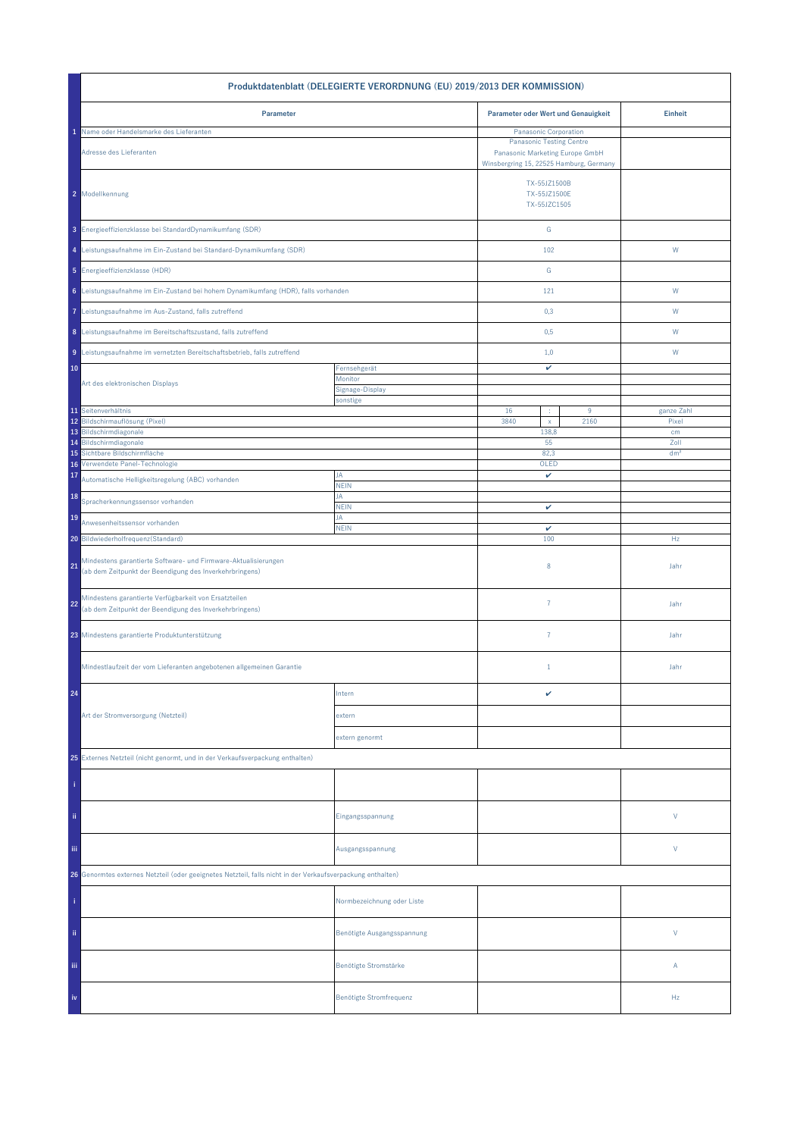| Produktdatenblatt (DELEGIERTE VERORDNUNG (EU) 2019/2013 DER KOMMISSION)                                                         |                                     |                                                                                                                                        |                |                 |  |  |
|---------------------------------------------------------------------------------------------------------------------------------|-------------------------------------|----------------------------------------------------------------------------------------------------------------------------------------|----------------|-----------------|--|--|
| Parameter                                                                                                                       | Parameter oder Wert und Genauigkeit |                                                                                                                                        | <b>Einheit</b> |                 |  |  |
| Name oder Handelsmarke des Lieferanten<br>Adresse des Lieferanten                                                               |                                     | Panasonic Corporation<br><b>Panasonic Testing Centre</b><br>Panasonic Marketing Europe GmbH<br>Winsbergring 15, 22525 Hamburg, Germany |                |                 |  |  |
| 2 Modellkennung                                                                                                                 |                                     | TX-55JZ1500B<br>TX-55JZ1500E<br>TX-55JZC1505                                                                                           |                |                 |  |  |
| 3 Energieeffizienzklasse bei StandardDynamikumfang (SDR)                                                                        |                                     | ${\mathbb G}$                                                                                                                          |                |                 |  |  |
| 4 Leistungsaufnahme im Ein-Zustand bei Standard-Dynamikumfang (SDR)                                                             |                                     | 102                                                                                                                                    |                | W               |  |  |
| 5 Energieeffizienzklasse (HDR)                                                                                                  |                                     | G                                                                                                                                      |                |                 |  |  |
| 6 Leistungsaufnahme im Ein-Zustand bei hohem Dynamikumfang (HDR), falls vorhanden                                               |                                     | 121                                                                                                                                    |                | W               |  |  |
| 7 Leistungsaufnahme im Aus-Zustand, falls zutreffend                                                                            |                                     | 0,3                                                                                                                                    |                | W               |  |  |
| 8 Leistungsaufnahme im Bereitschaftszustand, falls zutreffend                                                                   |                                     | 0,5                                                                                                                                    |                | W               |  |  |
| 9 Leistungsaufnahme im vernetzten Bereitschaftsbetrieb, falls zutreffend                                                        |                                     | 1,0                                                                                                                                    |                | W               |  |  |
| 10                                                                                                                              | Fernsehgerät<br>Monitor             | v                                                                                                                                      |                |                 |  |  |
| Art des elektronischen Displays                                                                                                 | Signage-Display<br>sonstige         |                                                                                                                                        |                |                 |  |  |
| 11 Seitenverhältnis                                                                                                             |                                     | 16<br>÷                                                                                                                                | $9\,$          | ganze Zahl      |  |  |
| 12 Bildschirmauflösung (Pixel)<br>13 Bildschirmdiagonale                                                                        |                                     | 3840<br>$\mathsf{x}$<br>138,8                                                                                                          | 2160           | Pixel<br>cm     |  |  |
| Bildschirmdiagonale<br>14                                                                                                       |                                     | 55                                                                                                                                     |                | Zoll            |  |  |
| Sichtbare Bildschirmfläche<br>15                                                                                                |                                     | 82,3                                                                                                                                   |                | dm <sup>2</sup> |  |  |
| Verwendete Panel-Technologie<br>16<br>17                                                                                        | JA                                  | OLED<br>v                                                                                                                              |                |                 |  |  |
| Automatische Helligkeitsregelung (ABC) vorhanden                                                                                | <b>NEIN</b><br>JA                   |                                                                                                                                        |                |                 |  |  |
| 18<br>Spracherkennungssensor vorhanden                                                                                          | <b>NEIN</b>                         | v                                                                                                                                      |                |                 |  |  |
| 19<br>Anwesenheitssensor vorhanden                                                                                              | JA<br><b>NEIN</b>                   | $\checkmark$                                                                                                                           |                |                 |  |  |
| 20 Bildwiederholfrequenz(Standard)                                                                                              |                                     | 100                                                                                                                                    |                | Hz              |  |  |
| Mindestens garantierte Software- und Firmware-Aktualisierungen<br>21<br>(ab dem Zeitpunkt der Beendigung des Inverkehrbringens) |                                     | 8                                                                                                                                      |                | Jahr            |  |  |
| Mindestens garantierte Verfügbarkeit von Ersatzteilen<br>22<br>(ab dem Zeitpunkt der Beendigung des Inverkehrbringens)          |                                     | $\overline{7}$                                                                                                                         |                | Jahr            |  |  |
| 23 Mindestens garantierte Produktunterstützung                                                                                  |                                     | $\overline{7}$                                                                                                                         |                | Jahr            |  |  |
| Mindestlaufzeit der vom Lieferanten angebotenen allgemeinen Garantie                                                            |                                     | $\mathbf{1}$                                                                                                                           |                | Jahr            |  |  |
| 24                                                                                                                              | Intern                              | v                                                                                                                                      |                |                 |  |  |
| Art der Stromversorgung (Netzteil)                                                                                              | extern                              |                                                                                                                                        |                |                 |  |  |
|                                                                                                                                 | extern genormt                      |                                                                                                                                        |                |                 |  |  |
| 25 Externes Netzteil (nicht genormt, und in der Verkaufsverpackung enthalten)                                                   |                                     |                                                                                                                                        |                |                 |  |  |
|                                                                                                                                 |                                     |                                                                                                                                        |                |                 |  |  |
| ii.                                                                                                                             | Eingangsspannung                    |                                                                                                                                        |                | V               |  |  |
| Ϊij                                                                                                                             | Ausgangsspannung                    |                                                                                                                                        |                | V               |  |  |
| 26 Genormtes externes Netzteil (oder geeignetes Netzteil, falls nicht in der Verkaufsverpackung enthalten)                      |                                     |                                                                                                                                        |                |                 |  |  |
|                                                                                                                                 | Normbezeichnung oder Liste          |                                                                                                                                        |                |                 |  |  |
| ii.                                                                                                                             | Benötigte Ausgangsspannung          |                                                                                                                                        |                | V               |  |  |
| Ϊij                                                                                                                             | Benötigte Stromstärke               |                                                                                                                                        |                | Α               |  |  |
| iv                                                                                                                              | Benötigte Stromfrequenz             |                                                                                                                                        |                | Hz              |  |  |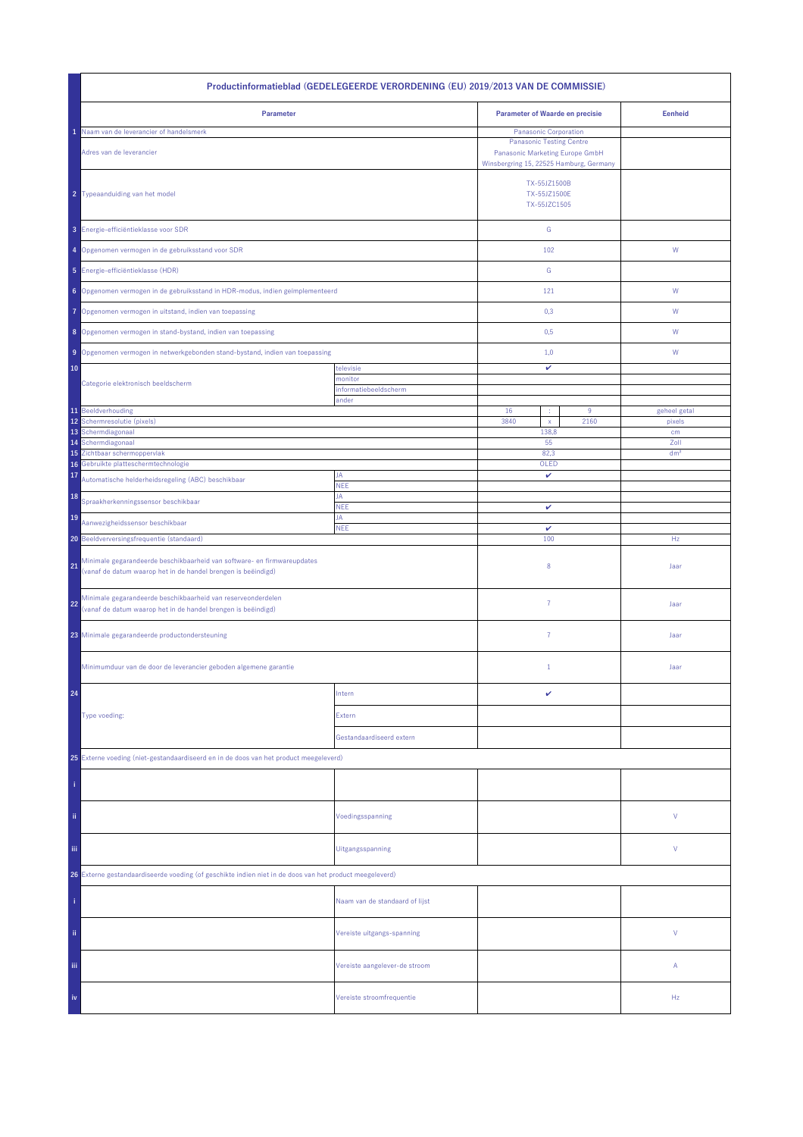| Productinformatieblad (GEDELEGEERDE VERORDENING (EU) 2019/2013 VAN DE COMMISSIE)                                                               |                                |                                              |                                                                                                                                        |                 |  |
|------------------------------------------------------------------------------------------------------------------------------------------------|--------------------------------|----------------------------------------------|----------------------------------------------------------------------------------------------------------------------------------------|-----------------|--|
| Parameter                                                                                                                                      |                                | <b>Parameter of Waarde en precisie</b>       |                                                                                                                                        | <b>Eenheid</b>  |  |
| Naam van de leverancier of handelsmerk<br>Adres van de leverancier                                                                             |                                |                                              | Panasonic Corporation<br><b>Panasonic Testing Centre</b><br>Panasonic Marketing Europe GmbH<br>Winsbergring 15, 22525 Hamburg, Germany |                 |  |
| 2 Typeaanduiding van het model                                                                                                                 |                                | TX-55JZ1500B<br>TX-55JZ1500E<br>TX-55JZC1505 |                                                                                                                                        |                 |  |
| 3 Energie-efficiëntieklasse voor SDR                                                                                                           |                                | ${\mathbb G}$                                |                                                                                                                                        |                 |  |
| 4 Opgenomen vermogen in de gebruiksstand voor SDR                                                                                              |                                | 102                                          |                                                                                                                                        | ${\mathsf W}$   |  |
| 5 Energie-efficiëntieklasse (HDR)                                                                                                              |                                | G                                            |                                                                                                                                        |                 |  |
| 6 Opgenomen vermogen in de gebruiksstand in HDR-modus, indien geïmplementeerd                                                                  |                                | 121                                          |                                                                                                                                        | W               |  |
| Opgenomen vermogen in uitstand, indien van toepassing<br>7                                                                                     |                                | 0,3                                          |                                                                                                                                        | W               |  |
| 8 Opgenomen vermogen in stand-bystand, indien van toepassing                                                                                   |                                | 0,5                                          |                                                                                                                                        | W               |  |
| 9 Opgenomen vermogen in netwerkgebonden stand-bystand, indien van toepassing                                                                   |                                | 1,0                                          |                                                                                                                                        | W               |  |
| 10<br>Categorie elektronisch beeldscherm                                                                                                       | televisie<br>monitor           | v                                            |                                                                                                                                        |                 |  |
|                                                                                                                                                | informatiebeeldscherm<br>ander |                                              |                                                                                                                                        |                 |  |
| 11 Beeldverhouding<br>12                                                                                                                       |                                | 16<br>÷<br>3840                              | $9\,$<br>2160                                                                                                                          | geheel getal    |  |
| Schermresolutie (pixels)<br>13<br>Schermdiagonaal                                                                                              |                                | $\mathsf{x}$<br>138,8                        |                                                                                                                                        | pixels<br>cm    |  |
| Schermdiagonaal<br>14                                                                                                                          |                                | 55                                           |                                                                                                                                        | Zoll            |  |
| Zichtbaar schermoppervlak<br>15<br>Gebruikte platteschermtechnologie<br>16                                                                     |                                | 82,3<br>OLED                                 |                                                                                                                                        | dm <sup>2</sup> |  |
| 17<br>Automatische helderheidsregeling (ABC) beschikbaar                                                                                       | JA                             | v                                            |                                                                                                                                        |                 |  |
| 18<br>Spraakherkenningssensor beschikbaar                                                                                                      | <b>NEE</b><br>JA               |                                              |                                                                                                                                        |                 |  |
| 19<br>Aanwezigheidssensor beschikbaar                                                                                                          | <b>NEE</b><br>JA               | v                                            |                                                                                                                                        |                 |  |
| 20 Beeldverversingsfrequentie (standaard)                                                                                                      | <b>NEE</b>                     | $\checkmark$<br>100                          |                                                                                                                                        | Hz              |  |
| Minimale gegarandeerde beschikbaarheid van software- en firmwareupdates<br>21<br>(vanaf de datum waarop het in de handel brengen is beëindigd) |                                | 8                                            |                                                                                                                                        | Jaar            |  |
| Minimale gegarandeerde beschikbaarheid van reserveonderdelen<br>22<br>(vanaf de datum waarop het in de handel brengen is beëindigd)            |                                | $\overline{7}$                               |                                                                                                                                        | Jaar            |  |
| 23 Minimale gegarandeerde productondersteuning                                                                                                 |                                | $\overline{7}$                               |                                                                                                                                        | Jaar            |  |
| Minimumduur van de door de leverancier geboden algemene garantie                                                                               |                                | $\mathbf{1}$                                 |                                                                                                                                        | Jaar            |  |
| 24                                                                                                                                             | Intern                         | v                                            |                                                                                                                                        |                 |  |
| Type voeding:                                                                                                                                  | Extern                         |                                              |                                                                                                                                        |                 |  |
|                                                                                                                                                | Gestandaardiseerd extern       |                                              |                                                                                                                                        |                 |  |
| 25 Externe voeding (niet-gestandaardiseerd en in de doos van het product meegeleverd)                                                          |                                |                                              |                                                                                                                                        |                 |  |
|                                                                                                                                                |                                |                                              |                                                                                                                                        |                 |  |
| ii.                                                                                                                                            | Voedingsspanning               |                                              |                                                                                                                                        | ٧               |  |
| Ϊij                                                                                                                                            | Uitgangsspanning               |                                              |                                                                                                                                        | ٧               |  |
| 26 Externe gestandaardiseerde voeding (of geschikte indien niet in de doos van het product meegeleverd)                                        |                                |                                              |                                                                                                                                        |                 |  |
|                                                                                                                                                | Naam van de standaard of lijst |                                              |                                                                                                                                        |                 |  |
| ii.                                                                                                                                            | Vereiste uitgangs-spanning     |                                              |                                                                                                                                        | V               |  |
| Ϊij                                                                                                                                            | Vereiste aangelever-de stroom  |                                              |                                                                                                                                        | Α               |  |
| iv                                                                                                                                             | Vereiste stroomfrequentie      |                                              |                                                                                                                                        | Hz              |  |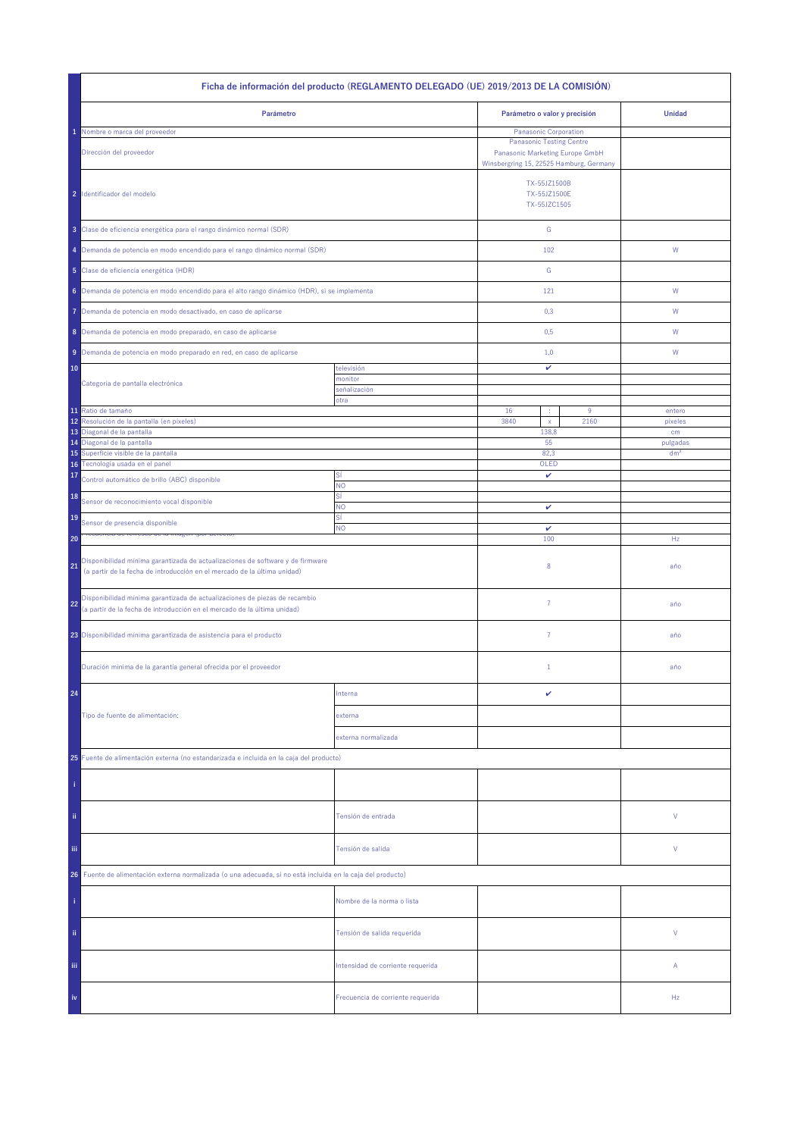| Ficha de información del producto (REGLAMENTO DELEGADO (UE) 2019/2013 DE LA COMISIÓN)                                                                            |                                   |                                                                                                                                        |       |                 |  |
|------------------------------------------------------------------------------------------------------------------------------------------------------------------|-----------------------------------|----------------------------------------------------------------------------------------------------------------------------------------|-------|-----------------|--|
| Parámetro                                                                                                                                                        |                                   | Parámetro o valor y precisión                                                                                                          |       | <b>Unidad</b>   |  |
| Nombre o marca del proveedor<br>Dirección del proveedor                                                                                                          |                                   | Panasonic Corporation<br><b>Panasonic Testing Centre</b><br>Panasonic Marketing Europe GmbH<br>Winsbergring 15, 22525 Hamburg, Germany |       |                 |  |
| 2 Identificador del modelo                                                                                                                                       |                                   | TX-55JZ1500B<br>TX-55JZ1500E<br>TX-55JZC1505                                                                                           |       |                 |  |
| 3 Clase de eficiencia energética para el rango dinámico normal (SDR)                                                                                             |                                   | ${\mathbb G}$                                                                                                                          |       |                 |  |
| 4 Demanda de potencia en modo encendido para el rango dinámico normal (SDR)                                                                                      |                                   | 102                                                                                                                                    |       | W               |  |
| 5 Clase de eficiencia energética (HDR)                                                                                                                           |                                   | G                                                                                                                                      |       |                 |  |
| 6 Demanda de potencia en modo encendido para el alto rango dinámico (HDR), si se implementa                                                                      |                                   | 121                                                                                                                                    |       | W               |  |
| Demanda de potencia en modo desactivado, en caso de aplicarse<br>7                                                                                               |                                   | 0,3                                                                                                                                    |       | W               |  |
| 8 Demanda de potencia en modo preparado, en caso de aplicarse                                                                                                    |                                   | 0,5                                                                                                                                    |       | W               |  |
| 9 Demanda de potencia en modo preparado en red, en caso de aplicarse                                                                                             |                                   | 1,0                                                                                                                                    |       | W               |  |
| 10                                                                                                                                                               | televisión<br>monitor             | v                                                                                                                                      |       |                 |  |
| Categoría de pantalla electrónica                                                                                                                                | señalización<br>otra              |                                                                                                                                        |       |                 |  |
| 11 Ratio de tamaño                                                                                                                                               |                                   | 16<br>÷                                                                                                                                | $9\,$ | entero          |  |
| 12<br>Resolución de la pantalla (en píxeles)<br>13 Diagonal de la pantalla                                                                                       |                                   | 3840<br>$\mathsf X$<br>138,8                                                                                                           | 2160  | pixeles         |  |
| Diagonal de la pantalla<br>14                                                                                                                                    |                                   | 55                                                                                                                                     |       | cm<br>pulgadas  |  |
| 15 Superficie visible de la pantalla                                                                                                                             |                                   | 82.3                                                                                                                                   |       | dm <sup>2</sup> |  |
| 16 Tecnología usada en el panel<br>17                                                                                                                            | Sİ                                | OLED<br>v                                                                                                                              |       |                 |  |
| Control automático de brillo (ABC) disponible                                                                                                                    | <b>NO</b><br>SÍ                   |                                                                                                                                        |       |                 |  |
| 18<br>Sensor de reconocimiento vocal disponible                                                                                                                  | NO                                | v                                                                                                                                      |       |                 |  |
| 19<br>Sensor de presencia disponible                                                                                                                             | SÍ<br>NO.                         | v                                                                                                                                      |       |                 |  |
| 20                                                                                                                                                               |                                   | 100                                                                                                                                    |       | Hz              |  |
| Disponibilidad mínima garantizada de actualizaciones de software y de firmware<br>21<br>(a partir de la fecha de introducción en el mercado de la última unidad) |                                   | 8                                                                                                                                      |       | año             |  |
| Disponibilidad mínima garantizada de actualizaciones de piezas de recambio<br>22<br>(a partir de la fecha de introducción en el mercado de la última unidad)     |                                   | $\overline{7}$                                                                                                                         |       | año             |  |
| 23 Disponibilidad mínima garantizada de asistencia para el producto                                                                                              |                                   | $\overline{7}$                                                                                                                         |       | año             |  |
| Duración mínima de la garantía general ofrecida por el proveedor                                                                                                 |                                   | $1\,$                                                                                                                                  |       | año             |  |
| 24                                                                                                                                                               | Interna                           | v                                                                                                                                      |       |                 |  |
| Tipo de fuente de alimentación:                                                                                                                                  | externa                           |                                                                                                                                        |       |                 |  |
|                                                                                                                                                                  | externa normalizada               |                                                                                                                                        |       |                 |  |
| 25 Fuente de alimentación externa (no estandarizada e incluida en la caja del producto)                                                                          |                                   |                                                                                                                                        |       |                 |  |
|                                                                                                                                                                  |                                   |                                                                                                                                        |       |                 |  |
| ii.                                                                                                                                                              | Tensión de entrada                |                                                                                                                                        |       | ٧               |  |
| Ϊij                                                                                                                                                              | Tensión de salida                 |                                                                                                                                        |       | ٧               |  |
| Fuente de alimentación externa normalizada (o una adecuada, si no está incluida en la caja del producto)<br>26                                                   |                                   |                                                                                                                                        |       |                 |  |
|                                                                                                                                                                  | Nombre de la norma o lista        |                                                                                                                                        |       |                 |  |
| ii.                                                                                                                                                              | Tensión de salida requerida       |                                                                                                                                        |       | V               |  |
| Ϊij                                                                                                                                                              | Intensidad de corriente requerida |                                                                                                                                        |       | Α               |  |
| iv                                                                                                                                                               | Frecuencia de corriente requerida |                                                                                                                                        |       | Hz              |  |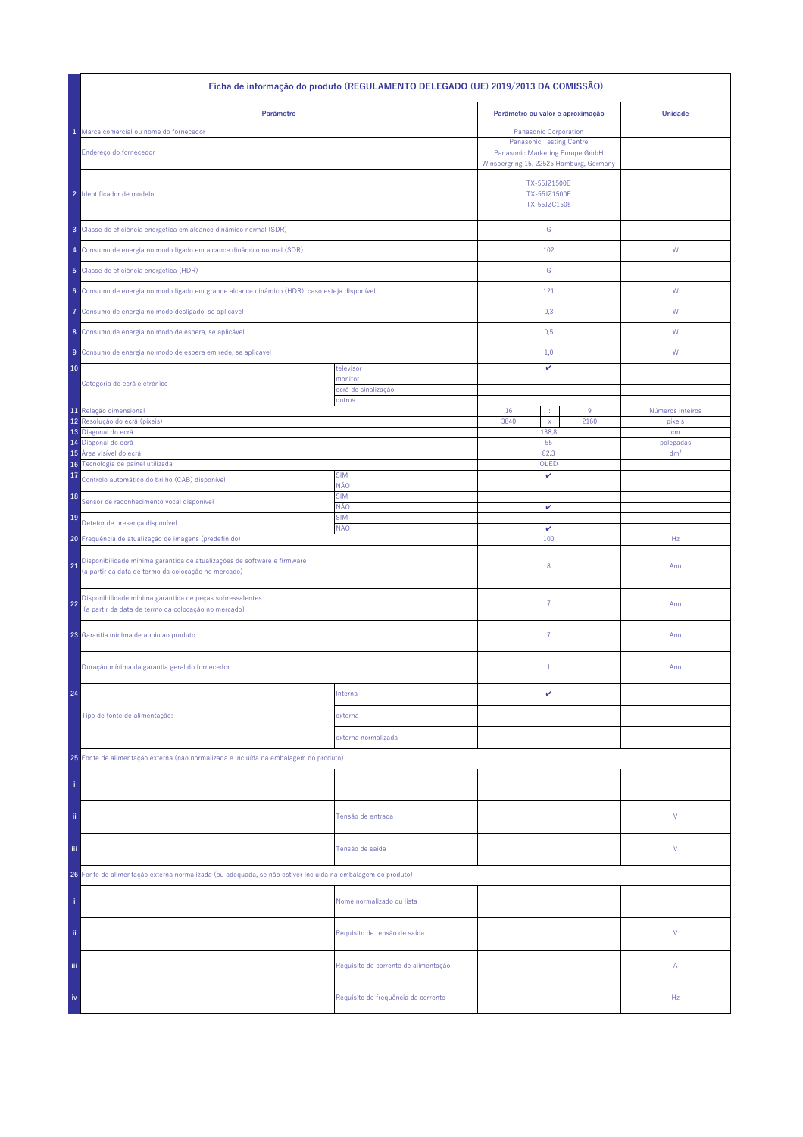| Ficha de informação do produto (REGULAMENTO DELEGADO (UE) 2019/2013 DA COMISSÃO)                                                     |                                      |                                              |                                                                                                                                               |                  |  |
|--------------------------------------------------------------------------------------------------------------------------------------|--------------------------------------|----------------------------------------------|-----------------------------------------------------------------------------------------------------------------------------------------------|------------------|--|
| Parâmetro                                                                                                                            |                                      | Parâmetro ou valor e aproximação             |                                                                                                                                               | <b>Unidade</b>   |  |
| Marca comercial ou nome do fornecedor<br>Endereço do fornecedor                                                                      |                                      |                                              | <b>Panasonic Corporation</b><br><b>Panasonic Testing Centre</b><br>Panasonic Marketing Europe GmbH<br>Winsbergring 15, 22525 Hamburg, Germany |                  |  |
| 2 Identificador de modelo                                                                                                            |                                      | TX-55JZ1500B<br>TX-55JZ1500E<br>TX-55JZC1505 |                                                                                                                                               |                  |  |
| 3 Classe de eficiência energética em alcance dinâmico normal (SDR)                                                                   |                                      | ${\mathbb G}$                                |                                                                                                                                               |                  |  |
| 4 Consumo de energia no modo ligado em alcance dinâmico normal (SDR)                                                                 |                                      | 102                                          |                                                                                                                                               | W                |  |
| 5 Classe de eficiência energética (HDR)                                                                                              |                                      | G                                            |                                                                                                                                               |                  |  |
| 6 Consumo de energia no modo ligado em grande alcance dinâmico (HDR), caso esteja disponível                                         |                                      | 121                                          |                                                                                                                                               | W                |  |
| Consumo de energia no modo desligado, se aplicável<br>7                                                                              |                                      | 0,3                                          |                                                                                                                                               | W                |  |
| 8 Consumo de energia no modo de espera, se aplicável                                                                                 |                                      | 0,5                                          |                                                                                                                                               | W                |  |
| 9 Consumo de energia no modo de espera em rede, se aplicável                                                                         |                                      | 1,0                                          |                                                                                                                                               | W                |  |
| 10<br>Categoria de ecrã eletrónico                                                                                                   | televisor<br>monitor                 | v                                            |                                                                                                                                               |                  |  |
|                                                                                                                                      | ecră de sinalização<br>outros        |                                              |                                                                                                                                               |                  |  |
| 11 Relação dimensional                                                                                                               |                                      | 16<br>÷                                      | 9                                                                                                                                             | Números inteiros |  |
| Resolução do ecrã (píxeis)<br>12<br>13<br>Diagonal do ecrã                                                                           |                                      | 3840<br>$\mathsf{x}$<br>138,8                | 2160                                                                                                                                          | pixeis<br>cm     |  |
| Diagonal do ecrã<br>14                                                                                                               |                                      | 55                                           |                                                                                                                                               | polegadas        |  |
| Área visível do ecrã<br>15                                                                                                           |                                      | 82.3                                         |                                                                                                                                               | dm <sup>2</sup>  |  |
| Tecnologia de painel utilizada<br>16<br>17                                                                                           | <b>SIM</b>                           | OLED<br>v                                    |                                                                                                                                               |                  |  |
| Controlo automático do brilho (CAB) disponível                                                                                       | NÃO                                  |                                              |                                                                                                                                               |                  |  |
| 18<br>Sensor de reconhecimento vocal disponível                                                                                      | <b>SIM</b><br>NÃO                    | v                                            |                                                                                                                                               |                  |  |
| 19<br>Detetor de presença disponível                                                                                                 | <b>SIM</b>                           |                                              |                                                                                                                                               |                  |  |
| 20 Frequência de atualização de imagens (predefinido)                                                                                | NÃO                                  | $\checkmark$<br>100                          |                                                                                                                                               | Hz               |  |
| Disponibilidade mínima garantida de atualizações de software e firmware<br>21<br>(a partir da data de termo da colocação no mercado) |                                      | 8                                            |                                                                                                                                               | Ano              |  |
| Disponibilidade mínima garantida de peças sobressalentes<br>22<br>(a partir da data de termo da colocação no mercado)                |                                      | $\overline{7}$                               |                                                                                                                                               | Ano              |  |
| 23 Garantia mínima de apoio ao produto                                                                                               |                                      | $\overline{7}$                               |                                                                                                                                               | Ano              |  |
| Duração mínima da garantia geral do fornecedor                                                                                       |                                      | $1\,$                                        |                                                                                                                                               | Ano              |  |
| 24                                                                                                                                   | Interna                              | v                                            |                                                                                                                                               |                  |  |
| Tipo de fonte de alimentação:                                                                                                        | externa                              |                                              |                                                                                                                                               |                  |  |
|                                                                                                                                      | externa normalizada                  |                                              |                                                                                                                                               |                  |  |
| 25 Fonte de alimentação externa (não normalizada e incluída na embalagem do produto)                                                 |                                      |                                              |                                                                                                                                               |                  |  |
|                                                                                                                                      |                                      |                                              |                                                                                                                                               |                  |  |
| ii.                                                                                                                                  | Tensão de entrada                    |                                              |                                                                                                                                               | ٧                |  |
| Tensão de saída<br>Ϊij                                                                                                               |                                      |                                              |                                                                                                                                               | ٧                |  |
| 26 Fonte de alimentação externa normalizada (ou adequada, se não estiver incluída na embalagem do produto)                           |                                      |                                              |                                                                                                                                               |                  |  |
|                                                                                                                                      | Nome normalizado ou lista            |                                              |                                                                                                                                               |                  |  |
| ii.                                                                                                                                  | Requisito de tensão de saída         |                                              |                                                                                                                                               | V                |  |
| Ϊij                                                                                                                                  | Requisito de corrente de alimentação |                                              |                                                                                                                                               | Α                |  |
| iv                                                                                                                                   | Requisito de frequência da corrente  |                                              |                                                                                                                                               | Hz               |  |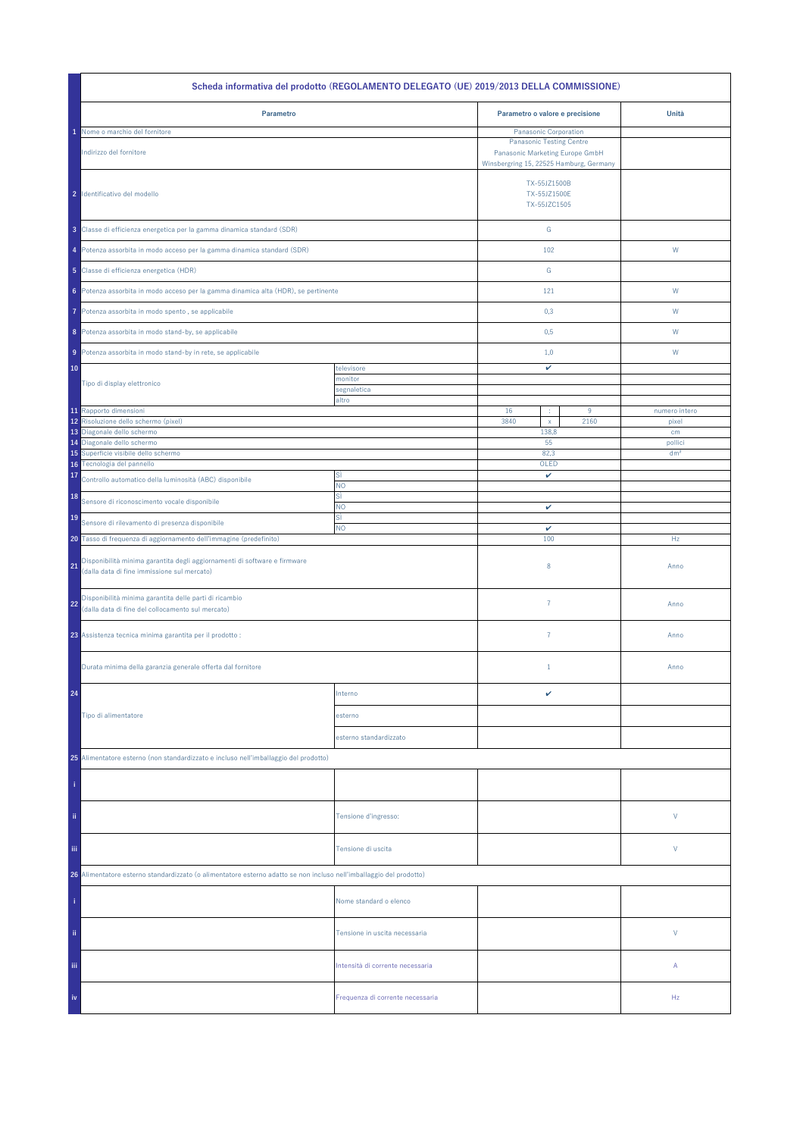| Scheda informativa del prodotto (REGOLAMENTO DELEGATO (UE) 2019/2013 DELLA COMMISSIONE)                                        |                                  |                                                                                         |      |                            |  |  |
|--------------------------------------------------------------------------------------------------------------------------------|----------------------------------|-----------------------------------------------------------------------------------------|------|----------------------------|--|--|
| Parametro                                                                                                                      |                                  | Parametro o valore e precisione                                                         |      | Unità                      |  |  |
| Nome o marchio del fornitore                                                                                                   |                                  | Panasonic Corporation                                                                   |      |                            |  |  |
| Indirizzo del fornitore                                                                                                        |                                  | <b>Panasonic Testing Centre</b><br>Panasonic Marketing Europe GmbH                      |      |                            |  |  |
| 2 Identificativo del modello                                                                                                   |                                  | Winsbergring 15, 22525 Hamburg, Germany<br>TX-55JZ1500B<br>TX-55JZ1500E<br>TX-55JZC1505 |      |                            |  |  |
| 3 Classe di efficienza energetica per la gamma dinamica standard (SDR)                                                         |                                  | ${\mathsf G}$                                                                           |      |                            |  |  |
| 4 Potenza assorbita in modo acceso per la gamma dinamica standard (SDR)                                                        |                                  | 102                                                                                     |      | W                          |  |  |
| 5 Classe di efficienza energetica (HDR)                                                                                        |                                  | ${\mathbb G}$                                                                           |      |                            |  |  |
| 6 Potenza assorbita in modo acceso per la gamma dinamica alta (HDR), se pertinente                                             |                                  | 121                                                                                     |      | W                          |  |  |
| Potenza assorbita in modo spento, se applicabile<br>7                                                                          |                                  | 0,3                                                                                     |      | W                          |  |  |
| 8 Potenza assorbita in modo stand-by, se applicabile                                                                           |                                  | 0,5                                                                                     |      | W                          |  |  |
| 9 Potenza assorbita in modo stand-by in rete, se applicabile                                                                   |                                  | 1,0                                                                                     |      | W                          |  |  |
| 10                                                                                                                             | televisore<br>monitor            | v                                                                                       |      |                            |  |  |
| Tipo di display elettronico                                                                                                    | segnaletica                      |                                                                                         |      |                            |  |  |
| 11 Rapporto dimensioni                                                                                                         | altro                            | 16<br>÷                                                                                 | 9    | numero intero              |  |  |
| 12 Risoluzione dello schermo (pixel)                                                                                           |                                  | 3840<br>$\mathsf X$                                                                     | 2160 | pixel                      |  |  |
| 13 Diagonale dello schermo                                                                                                     |                                  | 138,8                                                                                   |      | cm                         |  |  |
| 14 Diagonale dello schermo<br>Superficie visibile dello schermo<br>15                                                          |                                  | 55<br>82,3                                                                              |      | pollici<br>dm <sup>2</sup> |  |  |
| Tecnologia del pannello<br>16                                                                                                  |                                  | OLED                                                                                    |      |                            |  |  |
| 17<br>Controllo automatico della luminosità (ABC) disponibile                                                                  | SÌ<br>NO.                        | v                                                                                       |      |                            |  |  |
| 18<br>Sensore di riconoscimento vocale disponibile                                                                             | sì<br>NO.                        |                                                                                         |      |                            |  |  |
| 19<br>Sensore di rilevamento di presenza disponibile                                                                           | sì                               | v                                                                                       |      |                            |  |  |
| 20 Tasso di frequenza di aggiornamento dell'immagine (predefinito)                                                             | <b>NO</b>                        | $\checkmark$<br>100                                                                     |      | Hz                         |  |  |
| Disponibilità minima garantita degli aggiornamenti di software e firmware<br>21<br>(dalla data di fine immissione sul mercato) |                                  | $\,$ 8 $\,$                                                                             |      | Anno                       |  |  |
| Disponibilità minima garantita delle parti di ricambio<br>22<br>(dalla data di fine del collocamento sul mercato)              |                                  | $\overline{7}$                                                                          |      | Anno                       |  |  |
| 23 Assistenza tecnica minima garantita per il prodotto :                                                                       |                                  | $\overline{7}$                                                                          |      | Anno                       |  |  |
| Durata minima della garanzia generale offerta dal fornitore                                                                    |                                  | $1\,$                                                                                   |      | Anno                       |  |  |
| 24                                                                                                                             | Interno                          | v                                                                                       |      |                            |  |  |
| Tipo di alimentatore                                                                                                           | esterno                          |                                                                                         |      |                            |  |  |
|                                                                                                                                | esterno standardizzato           |                                                                                         |      |                            |  |  |
| 25 Alimentatore esterno (non standardizzato e incluso nell'imballaggio del prodotto)                                           |                                  |                                                                                         |      |                            |  |  |
|                                                                                                                                |                                  |                                                                                         |      |                            |  |  |
| ii.                                                                                                                            | Tensione d'ingresso:             |                                                                                         |      | V                          |  |  |
| iii.                                                                                                                           | Tensione di uscita               |                                                                                         |      | V                          |  |  |
| 26 Alimentatore esterno standardizzato (o alimentatore esterno adatto se non incluso nell'imballaggio del prodotto)            |                                  |                                                                                         |      |                            |  |  |
|                                                                                                                                | Nome standard o elenco           |                                                                                         |      |                            |  |  |
| ii.                                                                                                                            | Tensione in uscita necessaria    |                                                                                         |      | V                          |  |  |
| Ϊij                                                                                                                            | Intensità di corrente necessaria |                                                                                         |      | Α                          |  |  |
| iv                                                                                                                             | Frequenza di corrente necessaria |                                                                                         |      | Hz                         |  |  |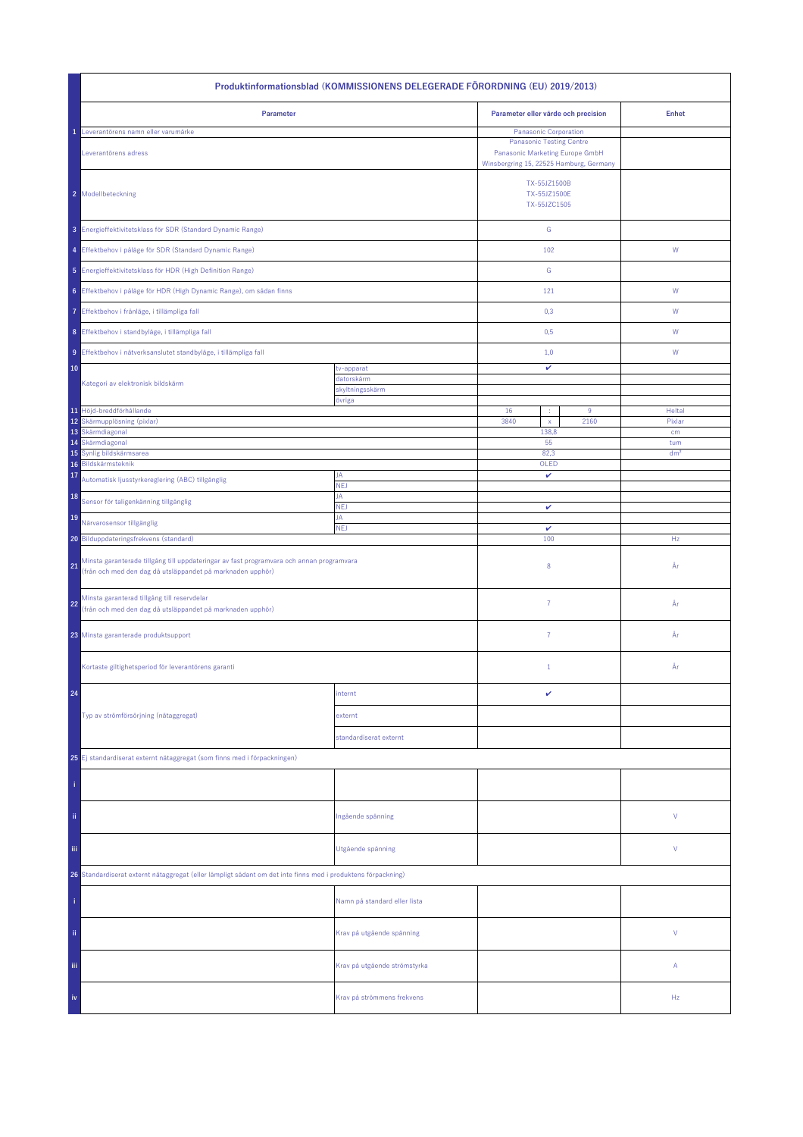| Produktinformationsblad (KOMMISSIONENS DELEGERADE FÖRORDNING (EU) 2019/2013)                                                                                 |                               |                                                                                                               |               |                 |  |  |
|--------------------------------------------------------------------------------------------------------------------------------------------------------------|-------------------------------|---------------------------------------------------------------------------------------------------------------|---------------|-----------------|--|--|
| Parameter                                                                                                                                                    |                               | Parameter eller värde och precision                                                                           |               | <b>Enhet</b>    |  |  |
| Leverantörens namn eller varumärke<br>ı                                                                                                                      |                               | <b>Panasonic Corporation</b>                                                                                  |               |                 |  |  |
| Leverantörens adress                                                                                                                                         |                               | <b>Panasonic Testing Centre</b><br>Panasonic Marketing Europe GmbH<br>Winsbergring 15, 22525 Hamburg, Germany |               |                 |  |  |
| 2 Modellbeteckning                                                                                                                                           |                               | TX-55JZ1500B<br>TX-55JZ1500E<br>TX-55JZC1505                                                                  |               |                 |  |  |
| 3 Energieffektivitetsklass för SDR (Standard Dynamic Range)                                                                                                  |                               |                                                                                                               | ${\mathsf G}$ |                 |  |  |
| 4 Effektbehov i påläge för SDR (Standard Dynamic Range)                                                                                                      |                               | 102                                                                                                           |               | ${\mathsf W}$   |  |  |
| 5 Energieffektivitetsklass för HDR (High Definition Range)                                                                                                   |                               | ${\mathbb G}$                                                                                                 |               |                 |  |  |
| 6 Effektbehov i påläge för HDR (High Dynamic Range), om sådan finns                                                                                          |                               | 121                                                                                                           |               | ${\mathsf W}$   |  |  |
| Effektbehov i frånläge, i tillämpliga fall<br>7                                                                                                              |                               | 0,3                                                                                                           |               | W               |  |  |
| 8 Effektbehov i standbyläge, i tillämpliga fall                                                                                                              |                               | 0,5                                                                                                           |               | W               |  |  |
| 9 Effektbehov i nätverksanslutet standbyläge, i tillämpliga fall                                                                                             |                               | 1,0                                                                                                           |               | W               |  |  |
| 10                                                                                                                                                           | tv-apparat                    | v                                                                                                             |               |                 |  |  |
| Kategori av elektronisk bildskärm                                                                                                                            | datorskärm<br>skyltningsskärm |                                                                                                               |               |                 |  |  |
|                                                                                                                                                              | övriga                        |                                                                                                               |               |                 |  |  |
| 11 Höjd-breddförhållande                                                                                                                                     |                               | 16<br>÷                                                                                                       | 9             | Heltal          |  |  |
| 12 Skärmupplösning (pixlar)<br>13 Skärmdiagonal                                                                                                              |                               | 3840<br>$\mathsf{x}$<br>138,8                                                                                 | 2160          | Pixlar<br>cm    |  |  |
| 14 Skärmdiagonal                                                                                                                                             |                               | 55                                                                                                            |               | tum             |  |  |
| 15<br>Synlig bildskärmsarea                                                                                                                                  |                               | 82,3                                                                                                          |               | dm <sup>2</sup> |  |  |
| Bildskärmsteknik<br>16                                                                                                                                       |                               | OLED                                                                                                          |               |                 |  |  |
| 17<br>Automatisk ljusstyrkereglering (ABC) tillgänglig                                                                                                       | JA<br><b>NEJ</b>              | v                                                                                                             |               |                 |  |  |
| 18<br>Sensor för taligenkänning tillgänglig                                                                                                                  | JA<br>NEJ                     | v                                                                                                             |               |                 |  |  |
| 19<br>Närvarosensor tillgänglig                                                                                                                              | JA<br><b>NEJ</b>              | v                                                                                                             |               |                 |  |  |
| 20 Bilduppdateringsfrekvens (standard)                                                                                                                       |                               | 100                                                                                                           |               | Hz              |  |  |
| Minsta garanterade tillgång till uppdateringar av fast programvara och annan programvara<br>21<br>(från och med den dag då utsläppandet på marknaden upphör) |                               | 8                                                                                                             |               | År              |  |  |
| Minsta garanterad tillgång till reservdelar<br>22<br>(från och med den dag då utsläppandet på marknaden upphör)                                              |                               | 7                                                                                                             |               | År              |  |  |
| 23 Minsta garanterade produktsupport                                                                                                                         |                               | $\overline{7}$                                                                                                |               | År              |  |  |
| Kortaste giltighetsperiod för leverantörens garanti                                                                                                          |                               | $1\,$                                                                                                         |               | År              |  |  |
| 24                                                                                                                                                           | internt                       | v                                                                                                             |               |                 |  |  |
| Typ av strömförsörjning (nätaggregat)                                                                                                                        | externt                       |                                                                                                               |               |                 |  |  |
|                                                                                                                                                              | standardiserat externt        |                                                                                                               |               |                 |  |  |
| 25 Ej standardiserat externt nätaggregat (som finns med i förpackningen)                                                                                     |                               |                                                                                                               |               |                 |  |  |
|                                                                                                                                                              |                               |                                                                                                               |               |                 |  |  |
| ii.                                                                                                                                                          | Ingående spänning             |                                                                                                               |               | V               |  |  |
| iii                                                                                                                                                          | Utgående spänning             |                                                                                                               | V             |                 |  |  |
| 26 Standardiserat externt nätaggregat (eller lämpligt sådant om det inte finns med i produktens förpackning)                                                 |                               |                                                                                                               |               |                 |  |  |
|                                                                                                                                                              | Namn på standard eller lista  |                                                                                                               |               |                 |  |  |
| ii.                                                                                                                                                          | Krav på utgående spänning     |                                                                                                               |               | V               |  |  |
| Ϊij                                                                                                                                                          | Krav på utgående strömstyrka  |                                                                                                               |               | Α               |  |  |
| iv                                                                                                                                                           | Krav på strömmens frekvens    |                                                                                                               |               | Hz              |  |  |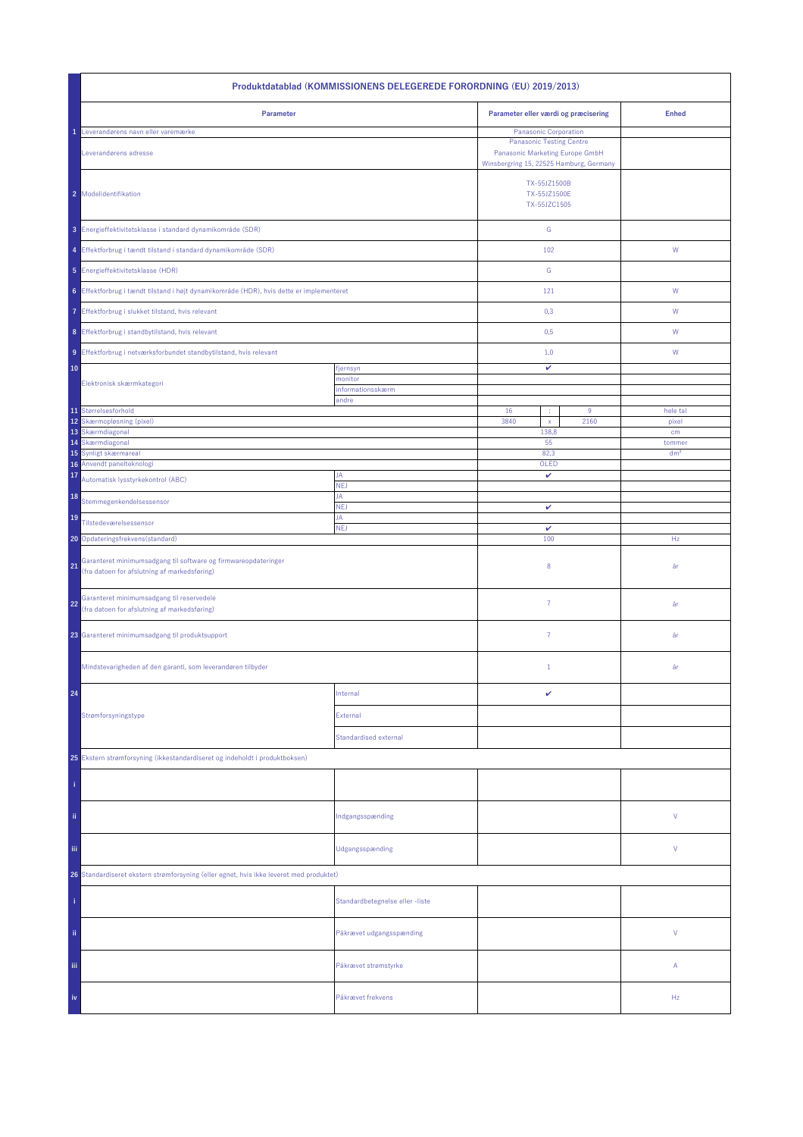| Produktdatablad (KOMMISSIONENS DELEGEREDE FORORDNING (EU) 2019/2013)                                                 |                                 |                                              |                                                                                                                                        |                 |  |
|----------------------------------------------------------------------------------------------------------------------|---------------------------------|----------------------------------------------|----------------------------------------------------------------------------------------------------------------------------------------|-----------------|--|
| Parameter                                                                                                            |                                 | Parameter eller værdi og præcisering         |                                                                                                                                        | <b>Enhed</b>    |  |
| Leverandørens navn eller varemærke<br>1<br>Leverandørens adresse                                                     |                                 |                                              | Panasonic Corporation<br><b>Panasonic Testing Centre</b><br>Panasonic Marketing Europe GmbH<br>Winsbergring 15, 22525 Hamburg, Germany |                 |  |
| 2 Modelidentifikation                                                                                                |                                 | TX-55JZ1500B<br>TX-55JZ1500E<br>TX-55JZC1505 |                                                                                                                                        |                 |  |
| 3 Energieffektivitetsklasse i standard dynamikområde (SDR)                                                           |                                 | ${\mathsf G}$                                |                                                                                                                                        |                 |  |
| 4 Effektforbrug i tændt tilstand i standard dynamikområde (SDR)                                                      |                                 | 102                                          |                                                                                                                                        | ${\mathsf W}$   |  |
| 5 Energieffektivitetsklasse (HDR)                                                                                    |                                 | ${\mathbb G}$                                |                                                                                                                                        |                 |  |
| 6 Effektforbrug i tændt tilstand i højt dynamikområde (HDR), hvis dette er implementeret                             |                                 | 121                                          |                                                                                                                                        | W               |  |
| 7 Effektforbrug i slukket tilstand, hvis relevant                                                                    |                                 | 0,3                                          |                                                                                                                                        | W               |  |
| 8 Effektforbrug i standbytilstand, hvis relevant                                                                     |                                 | 0,5                                          |                                                                                                                                        | W               |  |
| 9 Effektforbrug i netværksforbundet standbytilstand, hvis relevant                                                   |                                 | 1,0                                          |                                                                                                                                        | W               |  |
| 10                                                                                                                   | fjernsyn<br>monitor             | $\checkmark$                                 |                                                                                                                                        |                 |  |
| Elektronisk skærmkategori                                                                                            | informationsskærm<br>andre      |                                              |                                                                                                                                        |                 |  |
| 11 Størrelsesforhold                                                                                                 |                                 | 16<br>÷                                      | 9                                                                                                                                      | hele tal        |  |
| 12<br>Skærmopløsning (pixel)<br>13 Skærmdiagonal                                                                     |                                 | 3840<br>$\mathsf{x}$<br>138,8                | 2160                                                                                                                                   | pixel<br>cm     |  |
| Skærmdiagonal<br>14                                                                                                  |                                 | 55                                           |                                                                                                                                        | tommer          |  |
| 15 Synligt skærmareal<br>16 Anvendt panelteknologi                                                                   |                                 | 82,3<br>OLED                                 |                                                                                                                                        | dm <sup>2</sup> |  |
| 17<br>Automatisk lysstyrkekontrol (ABC)                                                                              | JA<br><b>NEJ</b>                | v                                            |                                                                                                                                        |                 |  |
| 18<br>Stemmegenkendelsessensor                                                                                       | JA<br><b>NEJ</b>                | v                                            |                                                                                                                                        |                 |  |
| 19<br>Tilstedeværelsessensor                                                                                         | JA                              | $\checkmark$                                 |                                                                                                                                        |                 |  |
| 20 Opdateringsfrekvens(standard)                                                                                     | <b>NEJ</b>                      |                                              | 100                                                                                                                                    | Hz              |  |
| Garanteret minimumsadgang til software og firmwareopdateringer<br>21<br>(fra datoen for afslutning af markedsføring) |                                 | 8                                            |                                                                                                                                        | år              |  |
| Garanteret minimumsadgang til reservedele<br>22<br>(fra datoen for afslutning af markedsføring)                      |                                 | $\overline{7}$                               |                                                                                                                                        | år              |  |
| 23 Garanteret minimumsadgang til produktsupport                                                                      |                                 | $\overline{7}$                               |                                                                                                                                        | år              |  |
| Mindstevarigheden af den garanti, som leverandøren tilbyder                                                          |                                 | $\mathbf{1}$                                 |                                                                                                                                        | år              |  |
| 24                                                                                                                   | Internal                        | v                                            |                                                                                                                                        |                 |  |
| Strømforsyningstype                                                                                                  | External                        |                                              |                                                                                                                                        |                 |  |
|                                                                                                                      | Standardised external           |                                              |                                                                                                                                        |                 |  |
| 25 Ekstern strømforsyning (ikkestandardiseret og indeholdt i produktboksen)                                          |                                 |                                              |                                                                                                                                        |                 |  |
|                                                                                                                      |                                 |                                              |                                                                                                                                        |                 |  |
| ij.                                                                                                                  | Indgangsspænding                |                                              |                                                                                                                                        | ٧               |  |
| Ϊij                                                                                                                  | Udgangsspænding                 |                                              |                                                                                                                                        | V               |  |
| 26 Standardiseret ekstern strømforsyning (eller egnet, hvis ikke leveret med produktet)                              |                                 |                                              |                                                                                                                                        |                 |  |
|                                                                                                                      | Standardbetegnelse eller -liste |                                              |                                                                                                                                        |                 |  |
| ii.                                                                                                                  | Påkrævet udgangsspænding        |                                              |                                                                                                                                        | V               |  |
| Ϊij                                                                                                                  | Påkrævet strømstyrke            |                                              |                                                                                                                                        | Α               |  |
| iv                                                                                                                   | Påkrævet frekvens               |                                              |                                                                                                                                        | Hz              |  |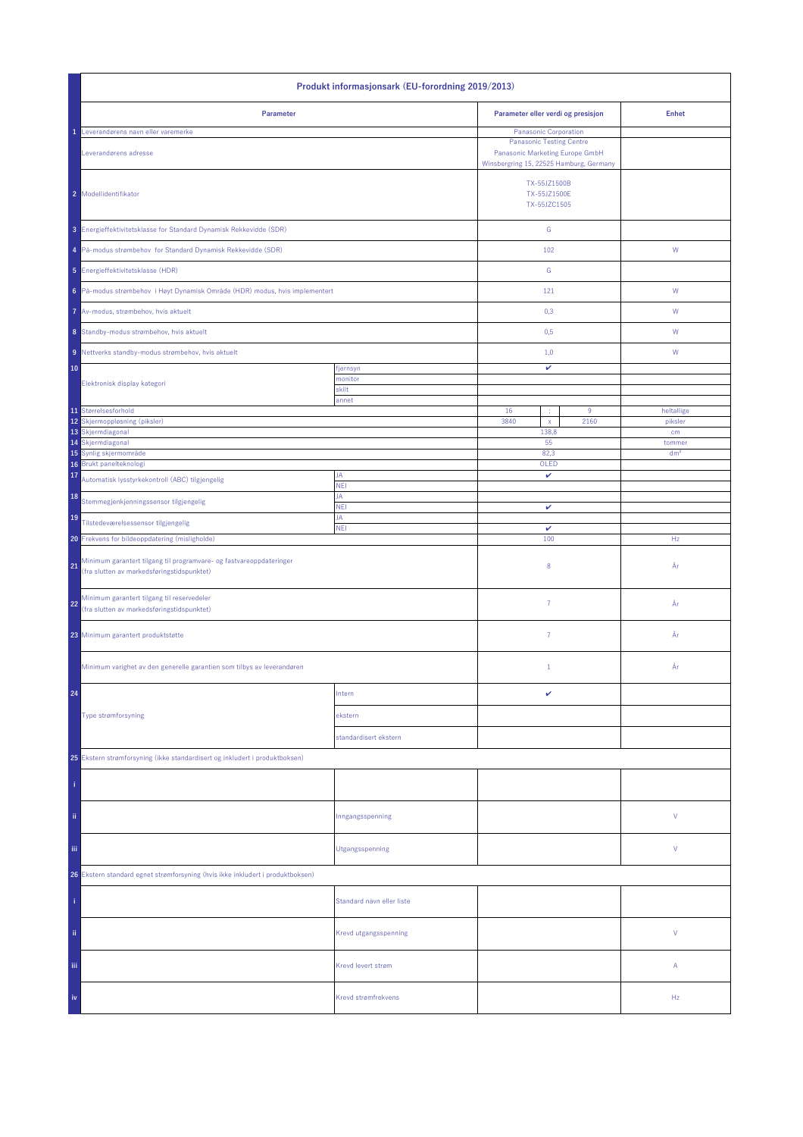| Produkt informasjonsark (EU-forordning 2019/2013)                                                                       |                           |                                                                                                               |       |                       |  |
|-------------------------------------------------------------------------------------------------------------------------|---------------------------|---------------------------------------------------------------------------------------------------------------|-------|-----------------------|--|
| Parameter                                                                                                               |                           | Parameter eller verdi og presisjon                                                                            |       | <b>Enhet</b>          |  |
| Leverandørens navn eller varemerke                                                                                      |                           | <b>Panasonic Corporation</b>                                                                                  |       |                       |  |
| Leverandørens adresse                                                                                                   |                           | <b>Panasonic Testing Centre</b><br>Panasonic Marketing Europe GmbH<br>Winsbergring 15, 22525 Hamburg, Germany |       |                       |  |
| 2 Modellidentifikator                                                                                                   |                           | TX-55JZ1500B<br>TX-55JZ1500E<br>TX-55JZC1505                                                                  |       |                       |  |
| 3 Energieffektivitetsklasse for Standard Dynamisk Rekkevidde (SDR)                                                      |                           | ${\mathbb G}$                                                                                                 |       |                       |  |
| 4 På-modus strømbehov for Standard Dynamisk Rekkevidde (SDR)                                                            |                           | 102                                                                                                           |       | ${\mathsf W}$         |  |
| 5 Energieffektivitetsklasse (HDR)                                                                                       |                           | ${\mathsf G}$                                                                                                 |       |                       |  |
| 6 På-modus strømbehov i Høyt Dynamisk Område (HDR) modus, hvis implementert                                             |                           | 121                                                                                                           |       | ${\mathsf W}$         |  |
| 7 Av-modus, strømbehov, hvis aktuelt                                                                                    |                           | 0,3                                                                                                           |       | W                     |  |
| 8 Standby-modus strømbehov, hvis aktuelt                                                                                |                           | 0,5                                                                                                           |       | W                     |  |
| 9 Nettverks standby-modus strømbehov, hvis aktuelt                                                                      |                           | 1,0                                                                                                           |       | W                     |  |
| 10                                                                                                                      | fjernsyn                  | v                                                                                                             |       |                       |  |
| Elektronisk display kategori                                                                                            | monitor<br>skilt          |                                                                                                               |       |                       |  |
|                                                                                                                         | annet                     |                                                                                                               |       |                       |  |
| 11 Størrelsesforhold<br>12 Skjermoppløsning (piksler)                                                                   |                           | 16<br>9<br>÷<br>3840<br>2160<br>$\mathsf X$                                                                   |       | heltallige<br>piksler |  |
| 13 Skjermdiagonal                                                                                                       |                           |                                                                                                               | 138,8 | cm                    |  |
| 14 Skjermdiagonal                                                                                                       |                           | 55                                                                                                            |       | tommer                |  |
| 15 Synlig skjermområde                                                                                                  |                           | 82,3                                                                                                          |       | dm <sup>2</sup>       |  |
| Brukt panelteknologi<br>16<br>17                                                                                        | JA                        | OLED<br>v                                                                                                     |       |                       |  |
| Automatisk lysstyrkekontroll (ABC) tilgjengelig<br>18                                                                   | <b>NEI</b><br>JA          |                                                                                                               |       |                       |  |
| Stemmegjenkjenningssensor tilgjengelig<br>19                                                                            | <b>NEI</b><br>JA          | v                                                                                                             |       |                       |  |
| Tilstedeværelsessensor tilgjengelig                                                                                     | <b>NEI</b>                | $\checkmark$                                                                                                  |       |                       |  |
| 20 Frekvens for bildeoppdatering (misligholde)                                                                          |                           | 100                                                                                                           |       | Hz                    |  |
| Minimum garantert tilgang til programvare- og fastvareoppdateringer<br>21<br>(fra slutten av markedsføringstidspunktet) |                           | 8                                                                                                             |       | År                    |  |
| Minimum garantert tilgang til reservedeler<br>22<br>(fra slutten av markedsføringstidspunktet)                          |                           | $\overline{7}$                                                                                                |       | År                    |  |
| 23 Minimum garantert produktstøtte                                                                                      |                           | 7                                                                                                             |       | År                    |  |
| Minimum varighet av den generelle garantien som tilbys av leverandøren                                                  |                           | $1\,$                                                                                                         |       | År                    |  |
| 24                                                                                                                      | Intern                    | v                                                                                                             |       |                       |  |
| Type strømforsyning                                                                                                     | ekstern                   |                                                                                                               |       |                       |  |
|                                                                                                                         | standardisert ekstern     |                                                                                                               |       |                       |  |
| 25 Ekstern strømforsyning (ikke standardisert og inkludert i produktboksen)                                             |                           |                                                                                                               |       |                       |  |
|                                                                                                                         |                           |                                                                                                               |       |                       |  |
|                                                                                                                         |                           |                                                                                                               |       |                       |  |
| ii.                                                                                                                     | Inngangsspenning          |                                                                                                               |       | V                     |  |
| iii.                                                                                                                    | Utgangsspenning           |                                                                                                               |       | V                     |  |
| 26 Ekstern standard egnet strømforsyning (hvis ikke inkludert i produktboksen)                                          |                           |                                                                                                               |       |                       |  |
|                                                                                                                         | Standard navn eller liste |                                                                                                               |       |                       |  |
| ii.                                                                                                                     | Krevd utgangsspenning     |                                                                                                               |       | V                     |  |
| Ϊij                                                                                                                     | Krevd levert strøm        |                                                                                                               |       | Α                     |  |
| iv                                                                                                                      | Krevd strømfrekvens       |                                                                                                               |       | Hz                    |  |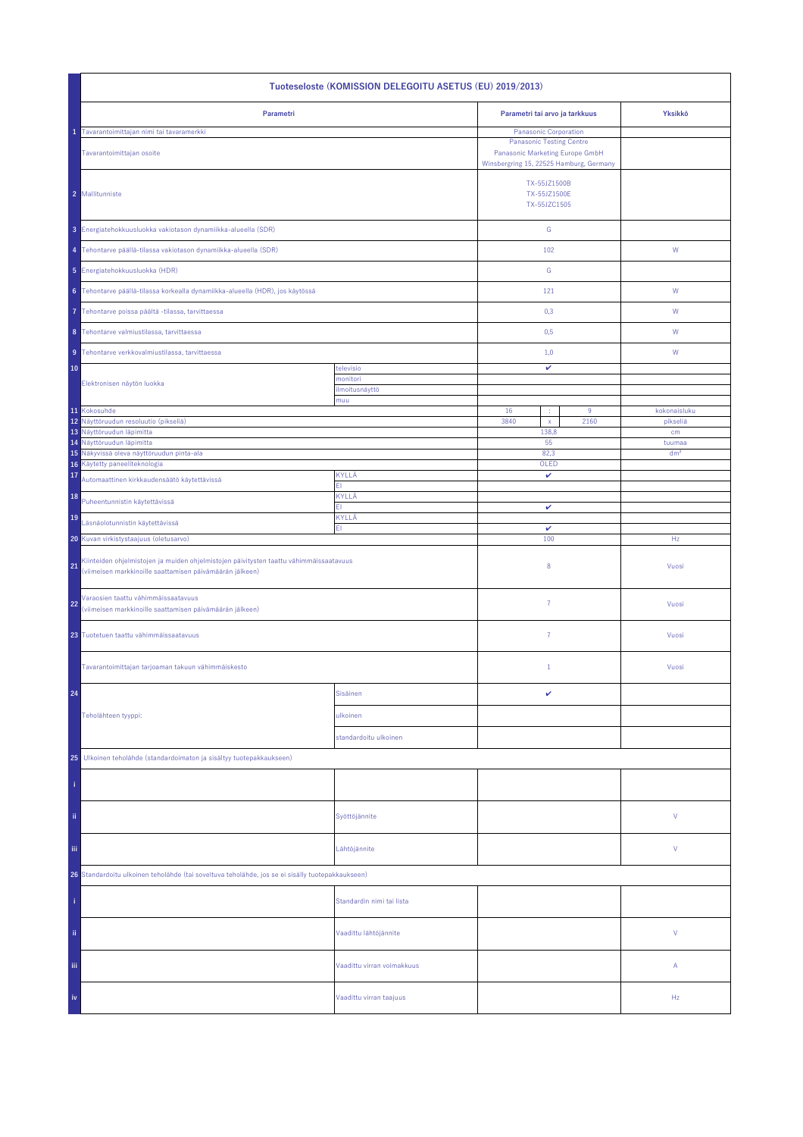| Tuoteseloste (KOMISSION DELEGOITU ASETUS (EU) 2019/2013)                                                                                                 |                            |                                                                            |               |                           |  |  |
|----------------------------------------------------------------------------------------------------------------------------------------------------------|----------------------------|----------------------------------------------------------------------------|---------------|---------------------------|--|--|
| Parametri                                                                                                                                                |                            | Parametri tai arvo ja tarkkuus                                             |               | Yksikkö                   |  |  |
| Tavarantoimittajan nimi tai tavaramerkki                                                                                                                 |                            | Panasonic Corporation<br><b>Panasonic Testing Centre</b>                   |               |                           |  |  |
| Tavarantoimittajan osoite                                                                                                                                |                            | Panasonic Marketing Europe GmbH<br>Winsbergring 15, 22525 Hamburg, Germany |               |                           |  |  |
| 2 Mallitunniste                                                                                                                                          |                            | TX-55JZ1500B<br>TX-55JZ1500E<br>TX-55JZC1505                               |               |                           |  |  |
| 3 Energiatehokkuusluokka vakiotason dynamiikka-alueella (SDR)                                                                                            |                            |                                                                            | ${\mathsf G}$ |                           |  |  |
| 4 Tehontarve päällä-tilassa vakiotason dynamiikka-alueella (SDR)                                                                                         |                            | 102                                                                        |               | W                         |  |  |
| 5 Energiatehokkuusluokka (HDR)                                                                                                                           |                            | G                                                                          |               |                           |  |  |
| 6 Tehontarve päällä-tilassa korkealla dynamiikka-alueella (HDR), jos käytössä                                                                            |                            | 121                                                                        |               | W                         |  |  |
| Tehontarve poissa päältä -tilassa, tarvittaessa                                                                                                          |                            | 0,3                                                                        |               | W                         |  |  |
| 8 Tehontarve valmiustilassa, tarvittaessa                                                                                                                |                            | 0,5                                                                        |               | W                         |  |  |
| 9 Tehontarve verkkovalmiustilassa, tarvittaessa                                                                                                          |                            | 1,0                                                                        |               | W                         |  |  |
| 10                                                                                                                                                       | televisio                  | $\checkmark$                                                               |               |                           |  |  |
| Elektronisen näytön luokka                                                                                                                               | monitori<br>ilmoitusnäyttö |                                                                            |               |                           |  |  |
| 11 Kokosuhde                                                                                                                                             | muu                        | 16<br>÷                                                                    | 9             | kokonaisluku              |  |  |
| 12 Näyttöruudun resoluutio (pikseliä)                                                                                                                    |                            | 3840<br>$\bar{\mathbf{x}}$                                                 | 2160          | pikseliä                  |  |  |
| 13 Näyttöruudun läpimitta                                                                                                                                |                            | 138,8                                                                      |               | cm                        |  |  |
| 14 Näyttöruudun läpimitta<br>15 Näkyvissä oleva näyttöruudun pinta-ala                                                                                   |                            | 55<br>82,3                                                                 |               | tuumaa<br>dm <sup>2</sup> |  |  |
| Käytetty paneeliteknologia<br>16                                                                                                                         |                            | OLED                                                                       |               |                           |  |  |
| 17<br>Automaattinen kirkkaudensäätö käytettävissä                                                                                                        | KYLLÄ<br>EI.               | $\checkmark$                                                               |               |                           |  |  |
| 18<br>Puheentunnistin käytettävissä                                                                                                                      | KYLLÄ<br>EI.               | v                                                                          |               |                           |  |  |
| 19<br>Läsnäolotunnistin käytettävissä                                                                                                                    | KYLLÄ<br>EI.               | v                                                                          |               |                           |  |  |
| 20 Kuvan virkistystaajuus (oletusarvo)                                                                                                                   |                            | 100                                                                        |               | Hz                        |  |  |
| Kiinteiden ohjelmistojen ja muiden ohjelmistojen päivitysten taattu vähimmäissaatavuus<br>21<br>(viimeisen markkinoille saattamisen päivämäärän jälkeen) |                            | 8                                                                          |               | Vuosi                     |  |  |
| Varaosien taattu vähimmäissaatavuus<br>22<br>(viimeisen markkinoille saattamisen päivämäärän jälkeen)                                                    |                            | $\overline{7}$                                                             |               | Vuosi                     |  |  |
| 23 Tuotetuen taattu vähimmäissaatavuus                                                                                                                   |                            | $\overline{7}$                                                             |               | Vuosi                     |  |  |
| Tavarantoimittajan tarjoaman takuun vähimmäiskesto                                                                                                       |                            | $\mathbf{1}$                                                               |               | Vuosi                     |  |  |
| 24                                                                                                                                                       | Sisäinen                   | v                                                                          |               |                           |  |  |
| Teholähteen tyyppi:                                                                                                                                      | ulkoinen                   |                                                                            |               |                           |  |  |
|                                                                                                                                                          | standardoitu ulkoinen      |                                                                            |               |                           |  |  |
| 25<br>Ulkoinen teholähde (standardoimaton ja sisältyy tuotepakkaukseen)                                                                                  |                            |                                                                            |               |                           |  |  |
|                                                                                                                                                          |                            |                                                                            |               |                           |  |  |
| ii,                                                                                                                                                      | Syöttöjännite              |                                                                            |               | V                         |  |  |
| Ϊij<br>Lähtöjännite                                                                                                                                      |                            |                                                                            |               | V                         |  |  |
| 26 Standardoitu ulkoinen teholähde (tai soveltuva teholähde, jos se ei sisälly tuotepakkaukseen)                                                         |                            |                                                                            |               |                           |  |  |
|                                                                                                                                                          | Standardin nimi tai lista  |                                                                            |               |                           |  |  |
| ii.                                                                                                                                                      | Vaadittu lähtöjännite      |                                                                            |               | V                         |  |  |
| iii.                                                                                                                                                     | Vaadittu virran voimakkuus |                                                                            |               | Α                         |  |  |
| iv                                                                                                                                                       | Vaadittu virran taajuus    |                                                                            |               | Hz                        |  |  |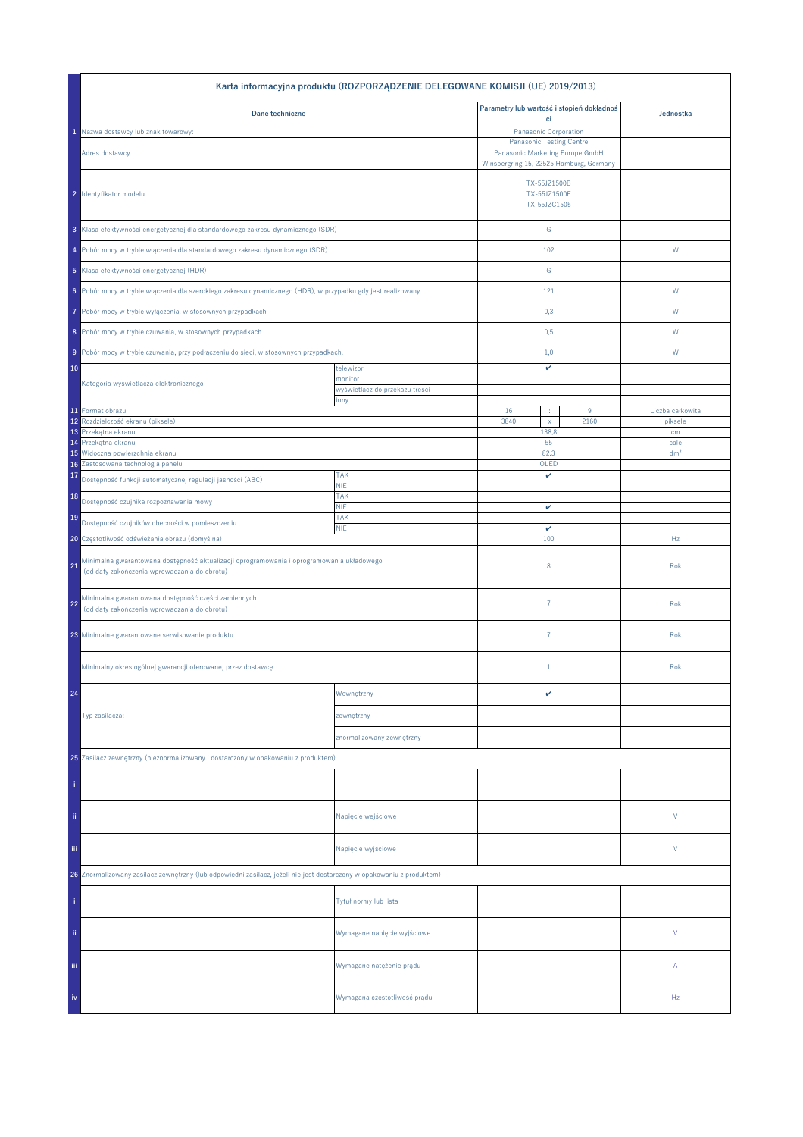|                                                                                                                                           | Karta informacyjna produktu (ROZPORZĄDZENIE DELEGOWANE KOMISJI (UE) 2019/2013) |                                                                    |           |                             |
|-------------------------------------------------------------------------------------------------------------------------------------------|--------------------------------------------------------------------------------|--------------------------------------------------------------------|-----------|-----------------------------|
| Dane techniczne                                                                                                                           |                                                                                | Parametry lub wartość i stopień dokładnoś                          |           | Jednostka                   |
| Nazwa dostawcy lub znak towarowy:                                                                                                         |                                                                                | ci<br>Panasonic Corporation                                        |           |                             |
| Adres dostawcy                                                                                                                            |                                                                                | <b>Panasonic Testing Centre</b><br>Panasonic Marketing Europe GmbH |           |                             |
|                                                                                                                                           |                                                                                | Winsbergring 15, 22525 Hamburg, Germany                            |           |                             |
| 2 Identyfikator modelu                                                                                                                    |                                                                                | TX-55JZ1500B<br>TX-55JZ1500E<br>TX-55JZC1505                       |           |                             |
| 3 Klasa efektywności energetycznej dla standardowego zakresu dynamicznego (SDR)                                                           |                                                                                | ${\mathbb G}$                                                      |           |                             |
|                                                                                                                                           | 4 Pobór mocy w trybie włączenia dla standardowego zakresu dynamicznego (SDR)   |                                                                    | 102       | W                           |
| 5 Klasa efektywności energetycznej (HDR)                                                                                                  |                                                                                | ${\mathbb G}$                                                      |           |                             |
| 6 Pobór mocy w trybie włączenia dla szerokiego zakresu dynamicznego (HDR), w przypadku gdy jest realizowany                               |                                                                                | 121                                                                |           | W                           |
| Pobór mocy w trybie wyłączenia, w stosownych przypadkach<br>7                                                                             |                                                                                | 0,3                                                                |           | W                           |
| 8 Pobór mocy w trybie czuwania, w stosownych przypadkach                                                                                  |                                                                                | 0,5                                                                |           | W                           |
|                                                                                                                                           |                                                                                | 1,0                                                                |           |                             |
| 9 Pobór mocy w trybie czuwania, przy podłączeniu do sieci, w stosownych przypadkach.<br>10                                                | telewizor                                                                      | v                                                                  |           | W                           |
| Kategoria wyświetlacza elektronicznego                                                                                                    | monitor                                                                        |                                                                    |           |                             |
|                                                                                                                                           | wyświetlacz do przekazu treści<br>inny                                         |                                                                    |           |                             |
| 11 Format obrazu<br>Rozdzielczość ekranu (piksele)<br>12                                                                                  |                                                                                | 16<br>÷<br>3840<br>$\mathsf X$                                     | 9<br>2160 | Liczba całkowita<br>piksele |
| Przekątna ekranu<br>13                                                                                                                    |                                                                                | 138,8                                                              |           | cm                          |
| Przekątna ekranu<br>14                                                                                                                    |                                                                                | 55                                                                 |           | cale                        |
| Widoczna powierzchnia ekranu<br>15<br>Zastosowana technologia panelu<br>16                                                                |                                                                                | 82,3<br>OLED                                                       |           | dm <sup>2</sup>             |
| 17<br>Dostępność funkcji automatycznej regulacji jasności (ABC)                                                                           | <b>TAK</b><br><b>NIE</b>                                                       | v                                                                  |           |                             |
| 18<br>Dostępność czujnika rozpoznawania mowy                                                                                              | <b>TAK</b>                                                                     |                                                                    |           |                             |
| 19                                                                                                                                        | <b>NIE</b><br><b>TAK</b>                                                       | v                                                                  |           |                             |
| Dostępność czujników obecności w pomieszczeniu<br>20 Częstotliwość odświeżania obrazu (domyślna)                                          | <b>NIE</b>                                                                     | v<br>100                                                           |           | Hz                          |
| Minimalna gwarantowana dostępność aktualizacji oprogramowania i oprogramowania układowego<br>(od daty zakończenia wprowadzania do obrotu) |                                                                                | 8                                                                  |           | Rok                         |
| Minimalna gwarantowana dostępność części zamiennych<br>22<br>(od daty zakończenia wprowadzania do obrotu)                                 |                                                                                | $\overline{7}$                                                     |           | Rok                         |
| 23 Minimalne gwarantowane serwisowanie produktu                                                                                           |                                                                                | $\overline{7}$                                                     |           | Rok                         |
| Minimalny okres ogólnej gwarancji oferowanej przez dostawcę                                                                               |                                                                                | $1\,$                                                              |           | Rok                         |
| 24                                                                                                                                        | Wewnętrzny                                                                     | v                                                                  |           |                             |
| Typ zasilacza:                                                                                                                            | zewnętrzny                                                                     |                                                                    |           |                             |
|                                                                                                                                           | znormalizowany zewnętrzny                                                      |                                                                    |           |                             |
| 25 Zasilacz zewnętrzny (nieznormalizowany i dostarczony w opakowaniu z produktem)                                                         |                                                                                |                                                                    |           |                             |
|                                                                                                                                           |                                                                                |                                                                    |           |                             |
| ii.                                                                                                                                       | Napięcie wejściowe                                                             |                                                                    |           | V                           |
| iii.                                                                                                                                      | Napięcie wyjściowe                                                             |                                                                    |           | V                           |
| 26 Znormalizowany zasilacz zewnętrzny (lub odpowiedni zasilacz, jeżeli nie jest dostarczony w opakowaniu z produktem)                     |                                                                                |                                                                    |           |                             |
|                                                                                                                                           | Tytuł normy lub lista                                                          |                                                                    |           |                             |
| ii.                                                                                                                                       | Wymagane napięcie wyjściowe                                                    |                                                                    |           | V                           |
| Ϊij                                                                                                                                       | Wymagane natężenie prądu                                                       |                                                                    |           | Α                           |
| iv                                                                                                                                        | Wymagana częstotliwość prądu                                                   |                                                                    |           | Hz                          |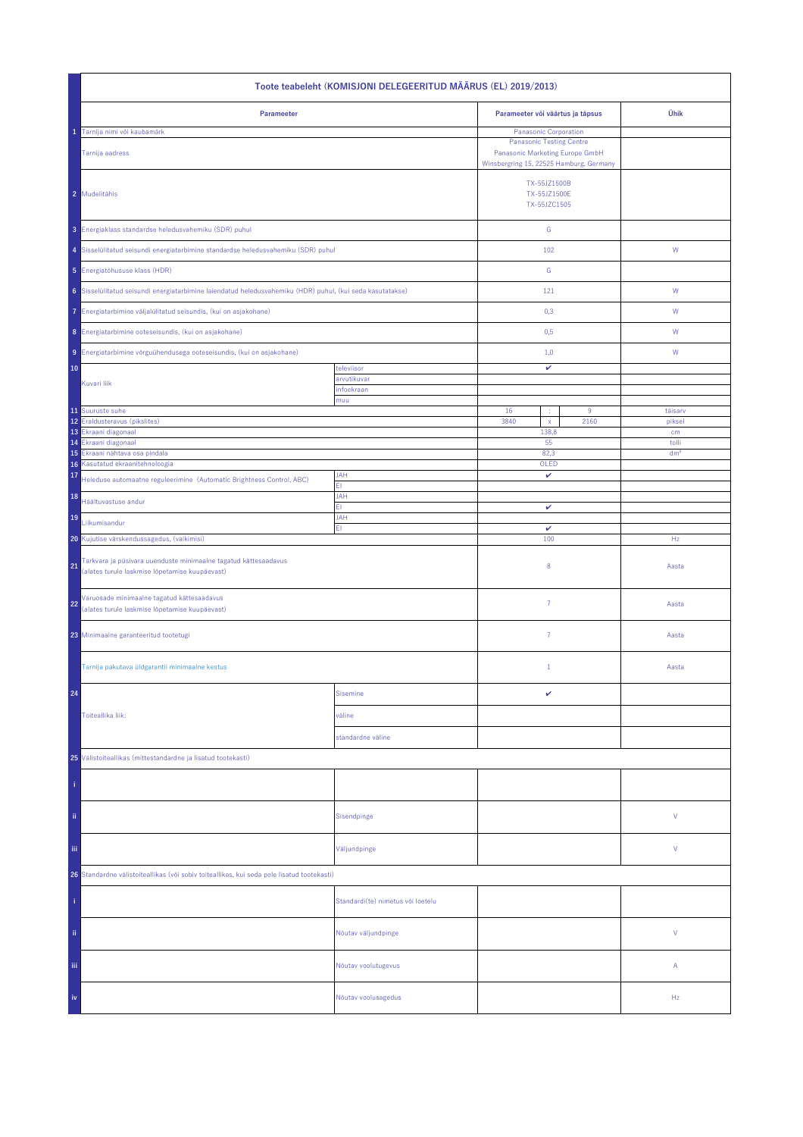| Toote teabeleht (KOMISJONI DELEGEERITUD MÄÄRUS (EL) 2019/2013)                                                          |                                   |                                                                                                                                        |      |                 |  |
|-------------------------------------------------------------------------------------------------------------------------|-----------------------------------|----------------------------------------------------------------------------------------------------------------------------------------|------|-----------------|--|
| Parameeter                                                                                                              |                                   | Parameeter või väärtus ja täpsus                                                                                                       |      | Ühik            |  |
| Tarnija nimi või kaubamärk<br>Tarnija aadress                                                                           |                                   | Panasonic Corporation<br><b>Panasonic Testing Centre</b><br>Panasonic Marketing Europe GmbH<br>Winsbergring 15, 22525 Hamburg, Germany |      |                 |  |
| 2 Mudelitähis                                                                                                           |                                   | TX-55JZ1500B<br>TX-55JZ1500E<br>TX-55JZC1505                                                                                           |      |                 |  |
| 3 Energiaklass standardse heledusvahemiku (SDR) puhul                                                                   |                                   | ${\mathsf G}$                                                                                                                          |      |                 |  |
| 4 Sisselülitatud seisundi energiatarbimine standardse heledusvahemiku (SDR) puhul                                       |                                   | 102                                                                                                                                    |      | W               |  |
| 5 Energiatõhususe klass (HDR)                                                                                           |                                   | ${\mathsf G}$                                                                                                                          |      |                 |  |
| 6 Sisselülitatud seisundi energiatarbimine laiendatud heledusvahemiku (HDR) puhul, (kui seda kasutatakse)               |                                   | 121                                                                                                                                    |      | W               |  |
| 7 Energiatarbimine väljalülitatud seisundis, (kui on asjakohane)                                                        |                                   | 0,3                                                                                                                                    |      | W               |  |
| 8 Energiatarbimine ooteseisundis, (kui on asjakohane)                                                                   |                                   | 0,5                                                                                                                                    |      | W               |  |
| 9 Energiatarbimine võrguühendusega ooteseisundis, (kui on asjakohane)                                                   |                                   | 1,0                                                                                                                                    |      | W               |  |
| 10                                                                                                                      | televiisor                        | v                                                                                                                                      |      |                 |  |
| Kuvari liik                                                                                                             | arvutikuvar<br>infoekraan         |                                                                                                                                        |      |                 |  |
| 11 Suuruste suhe                                                                                                        | muu                               | 16                                                                                                                                     | 9    | täisarv         |  |
| 12 Eraldusteravus (pikslites)                                                                                           |                                   | 3840<br>$\bar{\mathbf{x}}$                                                                                                             | 2160 | piksel          |  |
| 13 Ekraani diagonaal<br>Ekraani diagonaal<br>14                                                                         |                                   | 138,8<br>55                                                                                                                            |      | cm<br>tolli     |  |
| Ekraani nähtava osa pindala                                                                                             |                                   | 82,3                                                                                                                                   |      | dm <sup>2</sup> |  |
| Kasutatud ekraanitehnoloogia<br>16<br>17                                                                                | <b>JAH</b>                        | OLED<br>v                                                                                                                              |      |                 |  |
| Heleduse automaatne reguleerimine (Automatic Brightness Control, ABC)<br>18                                             | ΕI<br><b>JAH</b>                  |                                                                                                                                        |      |                 |  |
| Häältuvastuse andur                                                                                                     | FI.                               | v                                                                                                                                      |      |                 |  |
| 19<br>Liikumisandur                                                                                                     | JAH<br>EI.                        | $\checkmark$                                                                                                                           |      |                 |  |
| 20 Kujutise värskendussagedus, (vaikimisi)                                                                              |                                   | 100                                                                                                                                    |      | Hz              |  |
| Tarkvara ja püsivara uuenduste minimaalne tagatud kättesaadavus<br>21<br>(alates turule laskmise lõpetamise kuupäevast) |                                   | 8                                                                                                                                      |      | Aasta           |  |
| Varuosade minimaalne tagatud kättesaadavus<br>22<br>(alates turule laskmise lõpetamise kuupäevast)                      |                                   | $\overline{7}$                                                                                                                         |      | Aasta           |  |
| 23 Minimaalne garanteeritud tootetugi                                                                                   |                                   | 7                                                                                                                                      |      | Aasta           |  |
| Tarnija pakutava üldgarantii minimaalne kestus                                                                          |                                   | $\mathbf{1}$                                                                                                                           |      | Aasta           |  |
| 24                                                                                                                      | <b>Sisemine</b>                   | v                                                                                                                                      |      |                 |  |
| Toiteallika liik:                                                                                                       | väline                            |                                                                                                                                        |      |                 |  |
|                                                                                                                         | standardne väline                 |                                                                                                                                        |      |                 |  |
| 25 Välistoiteallikas (mittestandardne ja lisatud tootekasti)                                                            |                                   |                                                                                                                                        |      |                 |  |
|                                                                                                                         |                                   |                                                                                                                                        |      |                 |  |
| ii.                                                                                                                     | Sisendpinge                       |                                                                                                                                        |      | ٧               |  |
| iij                                                                                                                     | Väljundpinge                      |                                                                                                                                        |      | ٧               |  |
| 26 Standardne välistoiteallikas (või sobiv toiteallikas, kui seda pole lisatud tootekasti)                              |                                   |                                                                                                                                        |      |                 |  |
|                                                                                                                         | Standardi(te) nimetus või loetelu |                                                                                                                                        |      |                 |  |
| ii.                                                                                                                     | Nõutav väljundpinge               |                                                                                                                                        |      | V               |  |
| Ϊij                                                                                                                     | Nõutav voolutugevus               |                                                                                                                                        |      | Α               |  |
| iv                                                                                                                      | Nõutav voolusagedus               |                                                                                                                                        |      | Hz              |  |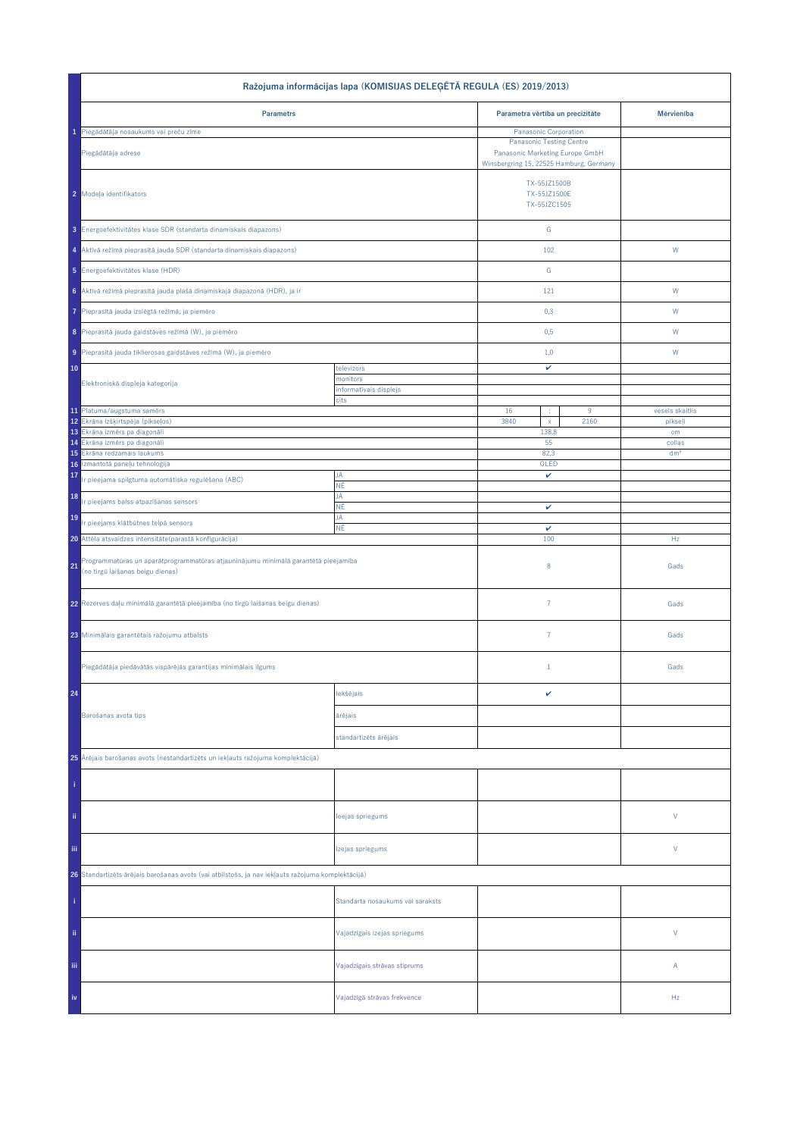| Ražojuma informācijas lapa (KOMISIJAS DELEĢĒTĀ REGULA (ES) 2019/2013)                                                        |                                  |                                                                                                               |                 |  |  |
|------------------------------------------------------------------------------------------------------------------------------|----------------------------------|---------------------------------------------------------------------------------------------------------------|-----------------|--|--|
| <b>Parametrs</b>                                                                                                             |                                  | Parametra vērtība un precizitāte                                                                              | Mērvienība      |  |  |
| 1 Piegādātāja nosaukums vai preču zīme                                                                                       |                                  | Panasonic Corporation                                                                                         |                 |  |  |
| Piegādātāja adrese                                                                                                           |                                  | <b>Panasonic Testing Centre</b><br>Panasonic Marketing Europe GmbH<br>Winsbergring 15, 22525 Hamburg, Germany |                 |  |  |
| 2 Modeļa identifikators                                                                                                      |                                  | TX-55JZ1500B<br>TX-55JZ1500E<br>TX-55JZC1505                                                                  |                 |  |  |
| 3 Energoefektivitātes klase SDR (standarta dinamiskais diapazons)                                                            |                                  | ${\mathbb G}$                                                                                                 |                 |  |  |
| 4 Aktīvā režīmā pieprasītā jauda SDR (standarta dinamiskais diapazons)                                                       |                                  | 102                                                                                                           | W               |  |  |
| 5 Energoefektivitätes klase (HDR)                                                                                            |                                  | ${\mathbb G}$                                                                                                 |                 |  |  |
| 6 Aktīvā režīmā pieprasītā jauda plašā dinamiskajā diapazonā (HDR), ja ir                                                    |                                  | 121                                                                                                           | W               |  |  |
| Pieprasītā jauda izslēgtā režīmā, ja piemēro<br>7                                                                            |                                  | 0,3                                                                                                           | W               |  |  |
| 8 Pieprasītā jauda gaidstāves režīmā (W), ja piemēro                                                                         |                                  | 0,5                                                                                                           | W               |  |  |
| 9 Pieprasītā jauda tīklierosas gaidstāves režīmā (W), ja piemēro                                                             |                                  | 1,0                                                                                                           | W               |  |  |
| 10                                                                                                                           | televizors                       | v                                                                                                             |                 |  |  |
| Elektroniskā displeja kategorija                                                                                             | monitors                         |                                                                                                               |                 |  |  |
|                                                                                                                              | informatīvais displejs<br>cits   |                                                                                                               |                 |  |  |
| 11 Platuma/augstuma samērs                                                                                                   |                                  | 16<br>$9\,$<br>$\cdot$                                                                                        | vesels skaitlis |  |  |
| 12 Ekrāna izšķirtspēja (pikseļos)<br>13 Ekrâna izmêrs pa diagonâli                                                           |                                  | 3840<br>2160<br>$\mathsf X$<br>138,8                                                                          | pikseļi<br>cm   |  |  |
| Ekrâna izmêrs pa diagonâli<br>14                                                                                             |                                  | 55                                                                                                            | collas          |  |  |
| Ekrāna redzamais laukums<br>15                                                                                               |                                  | 82,3                                                                                                          | dm <sup>2</sup> |  |  |
| Izmantotā paneļu tehnoloģija<br>16<br>17                                                                                     | JĀ                               | OLED<br>v                                                                                                     |                 |  |  |
| r pieejama spilgtuma automātiska regulēšana (ABC)                                                                            | ΝĒ                               |                                                                                                               |                 |  |  |
| 18<br>r pieejams balss atpazīšanas sensors                                                                                   | JĀ<br>ΝĒ                         | v                                                                                                             |                 |  |  |
| 19<br>Ir pieejams klātbūtnes telpā sensors                                                                                   | JĀ<br>ΝĒ                         | v                                                                                                             |                 |  |  |
| 20 Attēla atsvaidzes intensitāte (parastā konfigurācija)                                                                     |                                  | 100                                                                                                           | Hz              |  |  |
| Programmatūras un aparātprogrammatūras atjauninājumu minimālā garantētā pieejamība<br>21<br>(no tirgū laišanas beigu dienas) |                                  | 8                                                                                                             | Gads            |  |  |
| 22 Rezerves daļu minimālā garantētā pieejamība (no tirgū laišanas beigu dienas)                                              |                                  | $\overline{7}$                                                                                                | Gads            |  |  |
| 23 Minimālais garantētais ražojumu atbalsts                                                                                  |                                  | $\overline{7}$                                                                                                | Gads            |  |  |
| Piegādātāja piedāvātās vispārējās garantijas minimālais ilgums                                                               |                                  | $\mathbf{1}$                                                                                                  | Gads            |  |  |
| 24                                                                                                                           | lekšējais                        | v                                                                                                             |                 |  |  |
| Barošanas avota tips                                                                                                         | ārējais                          |                                                                                                               |                 |  |  |
|                                                                                                                              | standartizēts ārējais            |                                                                                                               |                 |  |  |
| 25 Ārējais barošanas avots (nestandartizēts un iekļauts ražojuma komplektācijā)                                              |                                  |                                                                                                               |                 |  |  |
|                                                                                                                              |                                  |                                                                                                               |                 |  |  |
| ii.                                                                                                                          | leejas spriegums                 |                                                                                                               | V               |  |  |
| Ϊij                                                                                                                          | Izejas spriegums                 |                                                                                                               | V               |  |  |
| 26 Standartizēts ārējais barošanas avots (vai atbilstošs, ja nav iekļauts ražojuma komplektācijā)                            |                                  |                                                                                                               |                 |  |  |
|                                                                                                                              | Standarta nosaukums vai saraksts |                                                                                                               |                 |  |  |
| ii.                                                                                                                          | Vajadzīgais izejas spriegums     |                                                                                                               | $\mathsf{V}$    |  |  |
| Ϊij                                                                                                                          | Vajadzīgais strāvas stiprums     |                                                                                                               | Α               |  |  |
| iv                                                                                                                           | Vajadzīgā strāvas frekvence      |                                                                                                               | Hz              |  |  |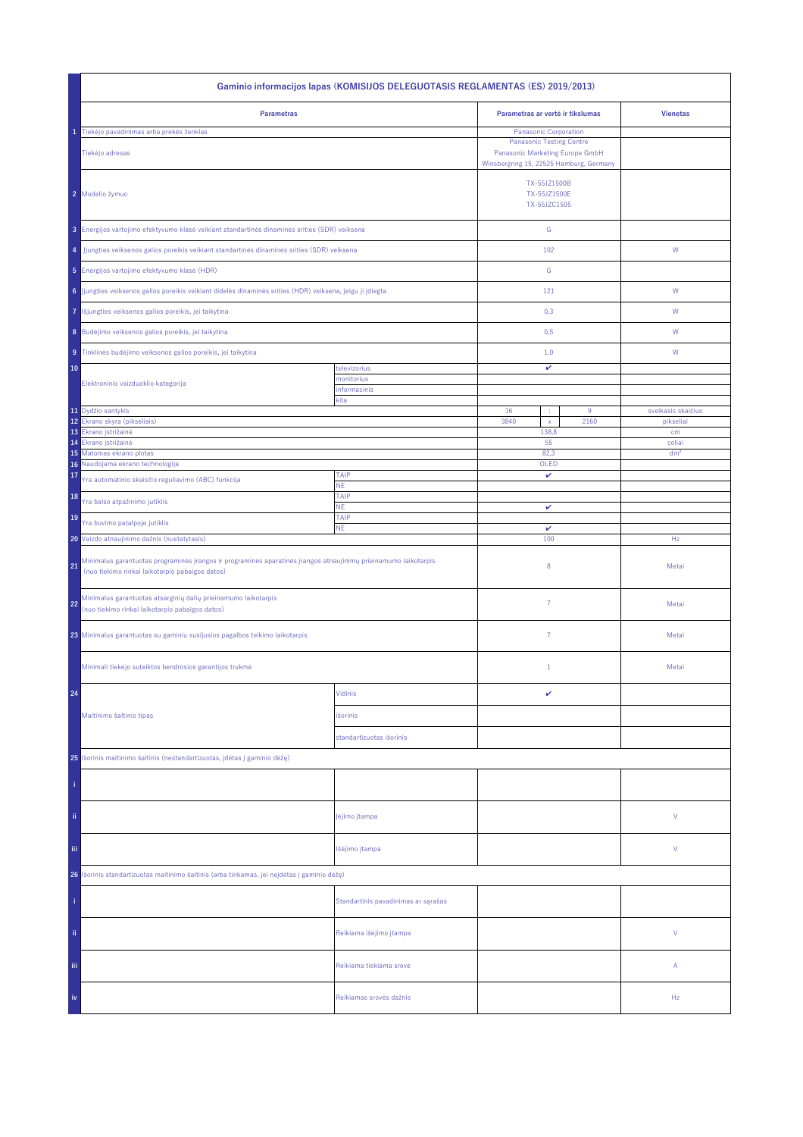| Gaminio informacijos lapas (KOMISIJOS DELEGUOTASIS REGLAMENTAS (ES) 2019/2013)                                                                                           |                                     |                                                                                                                                        |      |                    |  |
|--------------------------------------------------------------------------------------------------------------------------------------------------------------------------|-------------------------------------|----------------------------------------------------------------------------------------------------------------------------------------|------|--------------------|--|
| <b>Parametras</b>                                                                                                                                                        |                                     | Parametras ar vertė ir tikslumas                                                                                                       |      | <b>Vienetas</b>    |  |
| Tiekėjo pavadinimas arba prekės ženklas<br>Tiekėjo adresas                                                                                                               |                                     | Panasonic Corporation<br><b>Panasonic Testing Centre</b><br>Panasonic Marketing Europe GmbH<br>Winsbergring 15, 22525 Hamburg, Germany |      |                    |  |
| 2 Modelio žymuo                                                                                                                                                          |                                     | TX-55JZ1500B<br>TX-55JZ1500E<br>TX-55JZC1505                                                                                           |      |                    |  |
| 3 Energijos vartojimo efektyvumo klasė veikiant standartinės dinaminės srities (SDR) veiksena                                                                            |                                     | ${\mathsf G}$                                                                                                                          |      |                    |  |
| Jjungties veiksenos galios poreikis veikiant standartinės dinaminės srities (SDR) veiksena<br>4                                                                          |                                     | 102                                                                                                                                    |      | ${\mathsf W}$      |  |
| 5 Energijos vartojimo efektyvumo klasė (HDR)                                                                                                                             |                                     | G                                                                                                                                      |      |                    |  |
| 6 Jjungties veiksenos galios poreikis veikiant didelės dinaminės srities (HDR) veiksena, jeigu ji įdiegta                                                                |                                     | 121                                                                                                                                    |      | W                  |  |
| Išjungties veiksenos galios poreikis, jei taikytina<br>7                                                                                                                 |                                     | 0,3                                                                                                                                    |      | W                  |  |
| 8 Budėjimo veiksenos galios poreikis, jei taikytina                                                                                                                      |                                     | 0,5                                                                                                                                    |      | W                  |  |
| 9 Tinklinės budėjimo veiksenos galios poreikis, jei taikytina                                                                                                            |                                     | 1,0                                                                                                                                    |      | W                  |  |
| 10                                                                                                                                                                       | televizorius<br>monitorius          | v                                                                                                                                      |      |                    |  |
| Elektroninio vaizduoklio kategorija                                                                                                                                      | informacinis                        |                                                                                                                                        |      |                    |  |
| 11 Dydžio santykis                                                                                                                                                       | kita                                | 16<br>÷                                                                                                                                | 9    | sveikasis skaičius |  |
| 12<br>Ekrano skyra (pikseliais)                                                                                                                                          |                                     | 3840<br>$\mathsf{x}$                                                                                                                   | 2160 | pikseliai          |  |
| 13<br>Ekrano įstrižainė<br>14<br>Ekrano įstrižainė                                                                                                                       |                                     | 138,8<br>55                                                                                                                            |      | cm<br>coliai       |  |
| 15 Matomas ekrano plotas                                                                                                                                                 |                                     | 82,3                                                                                                                                   |      | dm <sup>2</sup>    |  |
| Naudojama ekrano technologija<br>16                                                                                                                                      |                                     | OLED                                                                                                                                   |      |                    |  |
| 17<br>Yra automatinio skaisčio reguliavimo (ABC) funkcija                                                                                                                | TAIP<br>NE.                         | v                                                                                                                                      |      |                    |  |
| 18<br>Yra balso atpažinimo jutiklis                                                                                                                                      | TAIP                                |                                                                                                                                        |      |                    |  |
| 19                                                                                                                                                                       | <b>NE</b><br>TAIP                   | v                                                                                                                                      |      |                    |  |
| Yra buvimo patalpoje jutiklis                                                                                                                                            | <b>NE</b>                           | $\checkmark$                                                                                                                           |      |                    |  |
| 20 Vaizdo atnaujinimo dažnis (nustatytasis)                                                                                                                              |                                     | 100                                                                                                                                    |      | Hz                 |  |
| Minimalus garantuotas programinės įrangos ir programinės aparatinės įrangos atnaujinimų prieinamumo laikotarpis<br>21<br>(nuo tiekimo rinkai laikotarpio pabaigos datos) |                                     | 8                                                                                                                                      |      | Metai              |  |
| Minimalus garantuotas atsarginių dalių prieinamumo laikotarpis<br>22<br>(nuo tiekimo rinkai laikotarpio pabaigos datos)                                                  |                                     | $\overline{7}$                                                                                                                         |      | Metai              |  |
| 23 Minimalus garantuotas su gaminiu susijusios pagalbos teikimo laikotarpis                                                                                              |                                     | $\overline{7}$                                                                                                                         |      | Metai              |  |
| Minimali tiekėjo suteiktos bendrosios garantijos trukmė                                                                                                                  |                                     | $1\,$                                                                                                                                  |      | Metai              |  |
| 24                                                                                                                                                                       | Vidinis                             | v                                                                                                                                      |      |                    |  |
| Maitinimo šaltinio tipas                                                                                                                                                 | išorinis                            |                                                                                                                                        |      |                    |  |
|                                                                                                                                                                          | standartizuotas išorinis            |                                                                                                                                        |      |                    |  |
| 25 Išorinis maitinimo šaltinis (nestandartizuotas, įdėtas į gaminio dėžę)                                                                                                |                                     |                                                                                                                                        |      |                    |  |
|                                                                                                                                                                          |                                     |                                                                                                                                        |      |                    |  |
| ii.                                                                                                                                                                      | įėjimo įtampa                       |                                                                                                                                        |      | ٧                  |  |
| Ϊij                                                                                                                                                                      | Išėjimo įtampa                      |                                                                                                                                        |      | ٧                  |  |
| Išorinis standartizuotas maitinimo šaltinis (arba tinkamas, jei neįdėtas į gaminio dėžę)<br>26                                                                           |                                     |                                                                                                                                        |      |                    |  |
|                                                                                                                                                                          | Standartinis pavadinimas ar sąrašas |                                                                                                                                        |      |                    |  |
| ii.                                                                                                                                                                      | Reikiama išėjimo įtampa             |                                                                                                                                        |      | V                  |  |
| Ϊij                                                                                                                                                                      | Reikiama tiekiama srovė             |                                                                                                                                        |      | Α                  |  |
| iv                                                                                                                                                                       | Reikiamas srovės dažnis             |                                                                                                                                        |      | Hz                 |  |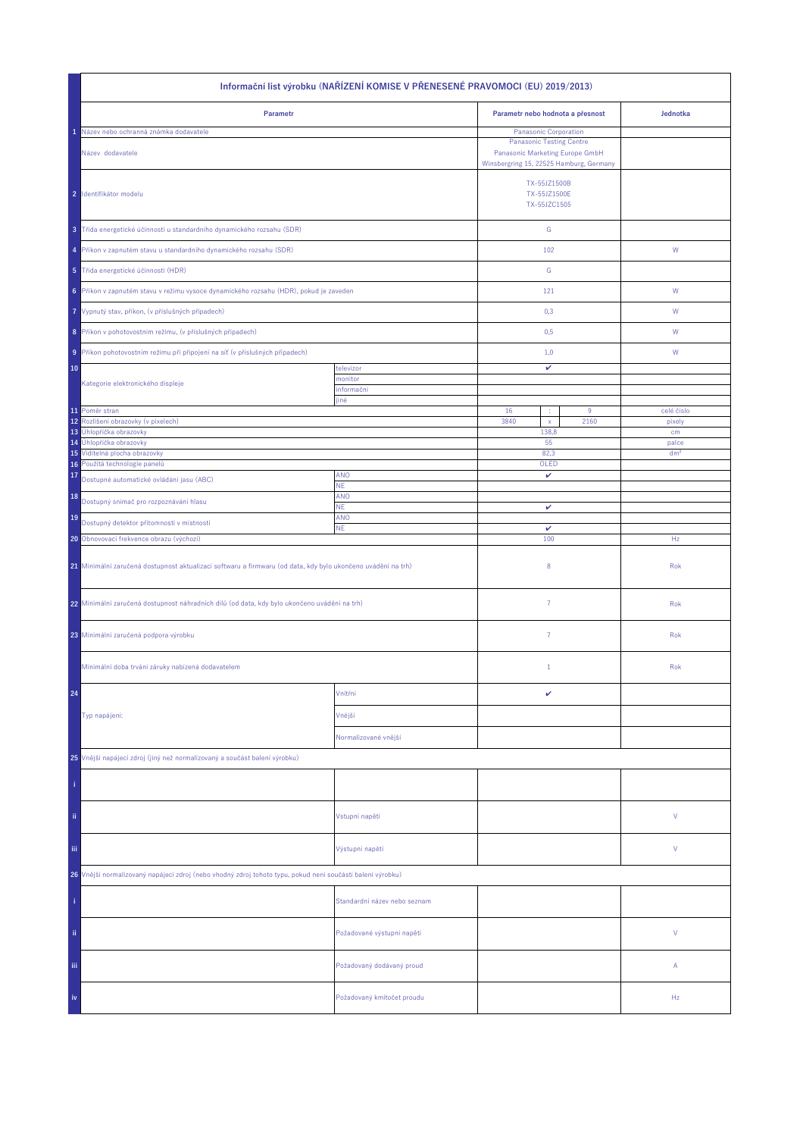| Informační list výrobku (NAŘÍZENÍ KOMISE V PŘENESENÉ PRAVOMOCI (EU) 2019/2013)                               |                              |                                              |                                                                                                               |                      |  |
|--------------------------------------------------------------------------------------------------------------|------------------------------|----------------------------------------------|---------------------------------------------------------------------------------------------------------------|----------------------|--|
| Parametr                                                                                                     |                              | Parametr nebo hodnota a přesnost             |                                                                                                               | Jednotka             |  |
| Název nebo ochranná známka dodavatele                                                                        |                              | Panasonic Corporation                        |                                                                                                               |                      |  |
| Název dodavatele                                                                                             |                              |                                              | <b>Panasonic Testing Centre</b><br>Panasonic Marketing Europe GmbH<br>Winsbergring 15, 22525 Hamburg, Germany |                      |  |
| 2 Identifikátor modelu                                                                                       |                              | TX-55JZ1500B<br>TX-55JZ1500E<br>TX-55JZC1505 |                                                                                                               |                      |  |
| 3 Třída energetické účinnosti u standardního dynamického rozsahu (SDR)                                       |                              | ${\mathbb G}$                                |                                                                                                               |                      |  |
| 4 Příkon v zapnutém stavu u standardního dynamického rozsahu (SDR)                                           |                              | 102                                          |                                                                                                               | W                    |  |
| 5 Třída energetické účinnosti (HDR)                                                                          |                              | ${\mathbb G}$                                |                                                                                                               |                      |  |
| 6 Příkon v zapnutém stavu v režimu vysoce dynamického rozsahu (HDR), pokud je zaveden                        |                              | 121                                          |                                                                                                               | ${\mathsf W}$        |  |
| Vypnutý stav, příkon, (v příslušných případech)<br>7                                                         |                              | 0,3                                          |                                                                                                               | W                    |  |
| 8 Příkon v pohotovostním režimu, (v příslušných případech)                                                   |                              | 0,5                                          |                                                                                                               | W                    |  |
| Příkon pohotovostním režimu při připojení na síť (v příslušných případech)<br>9                              |                              | 1,0                                          |                                                                                                               | W                    |  |
| 10                                                                                                           | televizor                    | v                                            |                                                                                                               |                      |  |
| Kategorie elektronického displeje                                                                            | monitor<br>informační        |                                              |                                                                                                               |                      |  |
|                                                                                                              | jiné                         |                                              |                                                                                                               |                      |  |
| 11 Poměr stran<br>Rozlišení obrazovky (v pixelech)<br>12                                                     |                              | 16<br>×<br>3840<br>$\mathsf X$               | 9<br>2160                                                                                                     | celé číslo<br>pixely |  |
| 13<br>Úhlopříčka obrazovky                                                                                   |                              | 138,8                                        |                                                                                                               | cm                   |  |
| Úhlopříčka obrazovky<br>14                                                                                   |                              | 55                                           |                                                                                                               | palce                |  |
| 15 Viditelná plocha obrazovky<br>16 Použitá technologie panelů                                               |                              | 82,3<br>OLED                                 |                                                                                                               | dm <sup>2</sup>      |  |
| 17<br>Dostupné automatické ovládání jasu (ABC)                                                               | <b>ANO</b>                   | v                                            |                                                                                                               |                      |  |
| 18                                                                                                           | ΝE.<br>ANO                   |                                              |                                                                                                               |                      |  |
| Dostupný snímač pro rozpoznávání hlasu                                                                       | <b>NE</b>                    | v                                            |                                                                                                               |                      |  |
| 19<br>Dostupný detektor přítomnosti v místnosti                                                              | ANO<br><b>NE</b>             | $\checkmark$                                 |                                                                                                               |                      |  |
| 20 Obnovovací frekvence obrazu (výchozí)                                                                     |                              | 100                                          |                                                                                                               | Hz                   |  |
| 21 Minimální zaručená dostupnost aktualizací softwaru a firmwaru (od data, kdy bylo ukončeno uvádění na trh) |                              | 8                                            |                                                                                                               | Rok                  |  |
| 22 Minimální zaručená dostupnost náhradních dílů (od data, kdy bylo ukončeno uvádění na trh)                 |                              | $\overline{7}$                               |                                                                                                               | Rok                  |  |
| 23 Minimální zaručená podpora výrobku                                                                        |                              | 7                                            |                                                                                                               | Rok                  |  |
| Minimální doba trvání záruky nabízená dodavatelem                                                            |                              | $\mathbf{1}$                                 |                                                                                                               | Rok                  |  |
| 24                                                                                                           | Vnitřní                      | v                                            |                                                                                                               |                      |  |
| Typ napájení:                                                                                                | Vnější                       |                                              |                                                                                                               |                      |  |
|                                                                                                              | Normalizované vnější         |                                              |                                                                                                               |                      |  |
| 25 Vnější napájecí zdroj (jiný než normalizovaný a součást balení výrobku)                                   |                              |                                              |                                                                                                               |                      |  |
|                                                                                                              |                              |                                              |                                                                                                               |                      |  |
| ii.                                                                                                          | Vstupní napětí               |                                              |                                                                                                               | V                    |  |
| Ϊij                                                                                                          | Výstupní napětí              |                                              |                                                                                                               | V                    |  |
| 26 Vnější normalizovaný napájecí zdroj (nebo vhodný zdroj tohoto typu, pokud není součástí balení výrobku)   |                              |                                              |                                                                                                               |                      |  |
|                                                                                                              | Standardní název nebo seznam |                                              |                                                                                                               |                      |  |
| ij,                                                                                                          | Požadované výstupní napětí   |                                              |                                                                                                               | V                    |  |
| Ϊij                                                                                                          | Požadovaný dodávaný proud    |                                              |                                                                                                               | Α                    |  |
| iv                                                                                                           | Požadovaný kmitočet proudu   |                                              |                                                                                                               | Hz                   |  |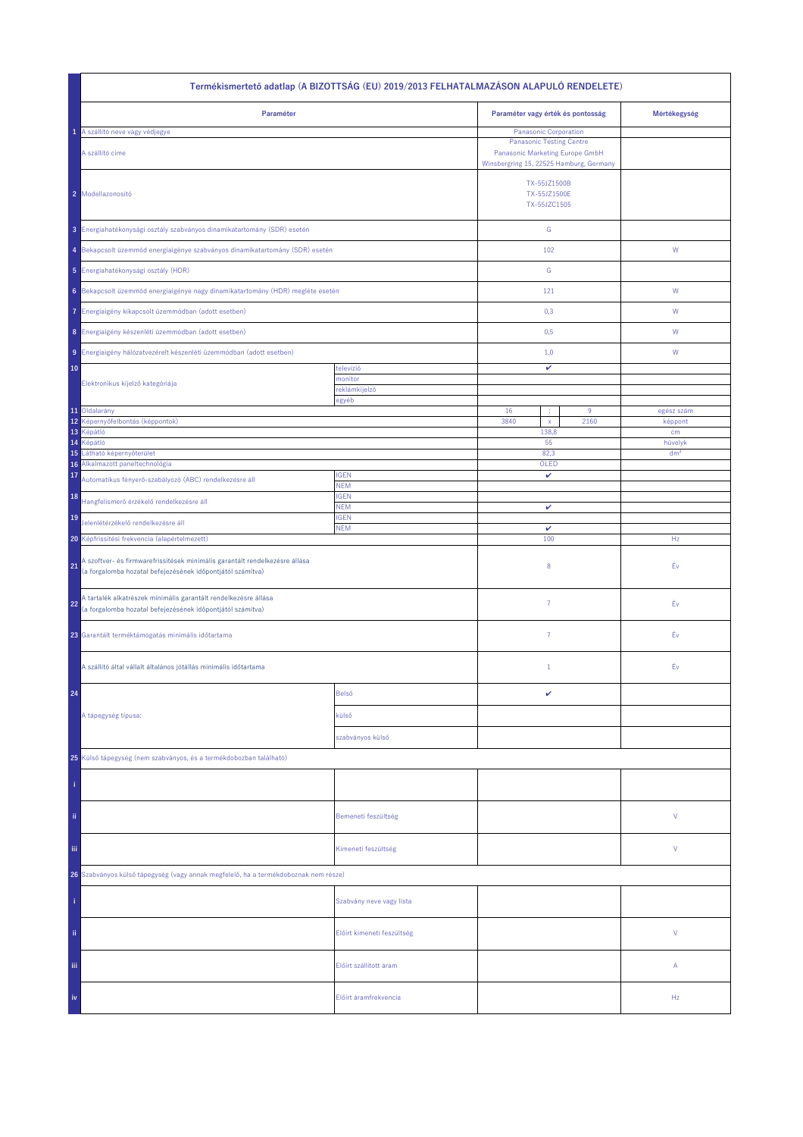| Termékismertető adatlap (A BIZOTTSÁG (EU) 2019/2013 FELHATALMAZÁSON ALAPULÓ RENDELETE)                                                          |                            |                                                                                                               |                                   |                       |
|-------------------------------------------------------------------------------------------------------------------------------------------------|----------------------------|---------------------------------------------------------------------------------------------------------------|-----------------------------------|-----------------------|
| Paraméter                                                                                                                                       |                            |                                                                                                               | Paraméter vagy érték és pontosság | Mértékegység          |
| 1 A szállító neve vagy védjegye                                                                                                                 |                            | <b>Panasonic Corporation</b>                                                                                  |                                   |                       |
| A szállító címe                                                                                                                                 |                            | <b>Panasonic Testing Centre</b><br>Panasonic Marketing Europe GmbH<br>Winsbergring 15, 22525 Hamburg, Germany |                                   |                       |
| 2 Modellazonosító                                                                                                                               |                            | TX-55JZ1500B<br>TX-55JZ1500E<br>TX-55JZC1505                                                                  |                                   |                       |
| 3 Energiahatékonysági osztály szabványos dinamikatartomány (SDR) esetén                                                                         |                            | ${\mathsf G}$                                                                                                 |                                   |                       |
| 4 Bekapcsolt üzemmód energiaigénye szabványos dinamikatartomány (SDR) esetén                                                                    |                            | 102                                                                                                           |                                   | ${\mathsf W}$         |
| 5 Energiahatékonysági osztály (HDR)                                                                                                             |                            | ${\mathbb G}$                                                                                                 |                                   |                       |
| 6 Bekapcsolt üzemmód energiaigénye nagy dinamikatartomány (HDR) megléte esetén                                                                  |                            | 121                                                                                                           |                                   | ${\mathsf W}$         |
| Energiaigény kikapcsolt üzemmódban (adott esetben)<br>7.                                                                                        |                            | 0,3                                                                                                           |                                   | W                     |
| 8 Energiaigény készenléti üzemmódban (adott esetben)                                                                                            |                            | 0,5                                                                                                           |                                   | W                     |
| 9 Energiaigény hálózatvezérelt készenléti üzemmódban (adott esetben)                                                                            |                            | 1,0                                                                                                           |                                   | W                     |
| 10                                                                                                                                              | televízió<br>monitor       | v                                                                                                             |                                   |                       |
| Elektronikus kijelző kategóriája                                                                                                                | reklámkijelző              |                                                                                                               |                                   |                       |
|                                                                                                                                                 | egyéb                      |                                                                                                               |                                   |                       |
| 11 Oldalarány<br>12<br>Képernyőfelbontás (képpontok)                                                                                            |                            | 16<br>÷<br>3840<br>$\mathsf{x}$                                                                               | 9<br>2160                         | egész szám<br>képpont |
| 13<br>Képátló                                                                                                                                   |                            | 138,8                                                                                                         |                                   | cm                    |
| 14<br>Képátló                                                                                                                                   |                            | 55                                                                                                            |                                   | hüvelyk               |
| 15<br>Látható képernyőterület<br>Alkalmazott paneltechnológia<br>16                                                                             | 82,3<br>OLED               |                                                                                                               |                                   | dm <sup>2</sup>       |
| 17<br>Automatikus fényerő-szabályozó (ABC) rendelkezésre áll                                                                                    | <b>IGEN</b><br><b>NEM</b>  | v                                                                                                             |                                   |                       |
| 18<br>Hangfelismerő érzékelő rendelkezésre áll                                                                                                  | <b>IGEN</b><br><b>NEM</b>  |                                                                                                               |                                   |                       |
| 19<br>Jelenlétérzékelő rendelkezésre áll                                                                                                        | <b>IGEN</b><br><b>NEM</b>  | v<br>v                                                                                                        |                                   |                       |
| 20 Képfrissítési frekvencia (alapértelmezett)                                                                                                   |                            | 100                                                                                                           |                                   | Hz                    |
| A szoftver- és firmwarefrissítések minimális garantált rendelkezésre állása<br>21<br>(a forgalomba hozatal befejezésének időpontjától számítva) |                            | 8                                                                                                             |                                   | Év                    |
| A tartalék alkatrészek minimális garantált rendelkezésre állása<br>22<br>(a forgalomba hozatal befejezésének időpontjától számítva)             |                            | 7                                                                                                             |                                   | Éν                    |
| 23 Garantált terméktámogatás minimális időtartama                                                                                               |                            | $\overline{7}$                                                                                                |                                   | Éν                    |
| A szállító által vállalt általános jótállás minimális időtartama                                                                                |                            | $\mathbf{1}$                                                                                                  |                                   | Év                    |
| 24                                                                                                                                              | Belső                      | v                                                                                                             |                                   |                       |
| A tápegység típusa:                                                                                                                             | külső                      |                                                                                                               |                                   |                       |
|                                                                                                                                                 | szabványos külső           |                                                                                                               |                                   |                       |
| 25 Külső tápegység (nem szabványos, és a termékdobozban található)                                                                              |                            |                                                                                                               |                                   |                       |
|                                                                                                                                                 |                            |                                                                                                               |                                   |                       |
| ii.                                                                                                                                             | Bemeneti feszültség        |                                                                                                               |                                   | V                     |
| iii.                                                                                                                                            | Kimeneti feszültség        |                                                                                                               |                                   | V                     |
| 26 Szabványos külső tápegység (vagy annak megfelelő, ha a termékdoboznak nem része)                                                             |                            |                                                                                                               |                                   |                       |
|                                                                                                                                                 | Szabvány neve vagy lista   |                                                                                                               |                                   |                       |
| ii.                                                                                                                                             | Előírt kimeneti feszültség |                                                                                                               |                                   | V                     |
| Ϊij                                                                                                                                             | Előírt szállított áram     |                                                                                                               |                                   | Α                     |
| iv                                                                                                                                              | Előírt áramfrekvencia      |                                                                                                               |                                   | Hz                    |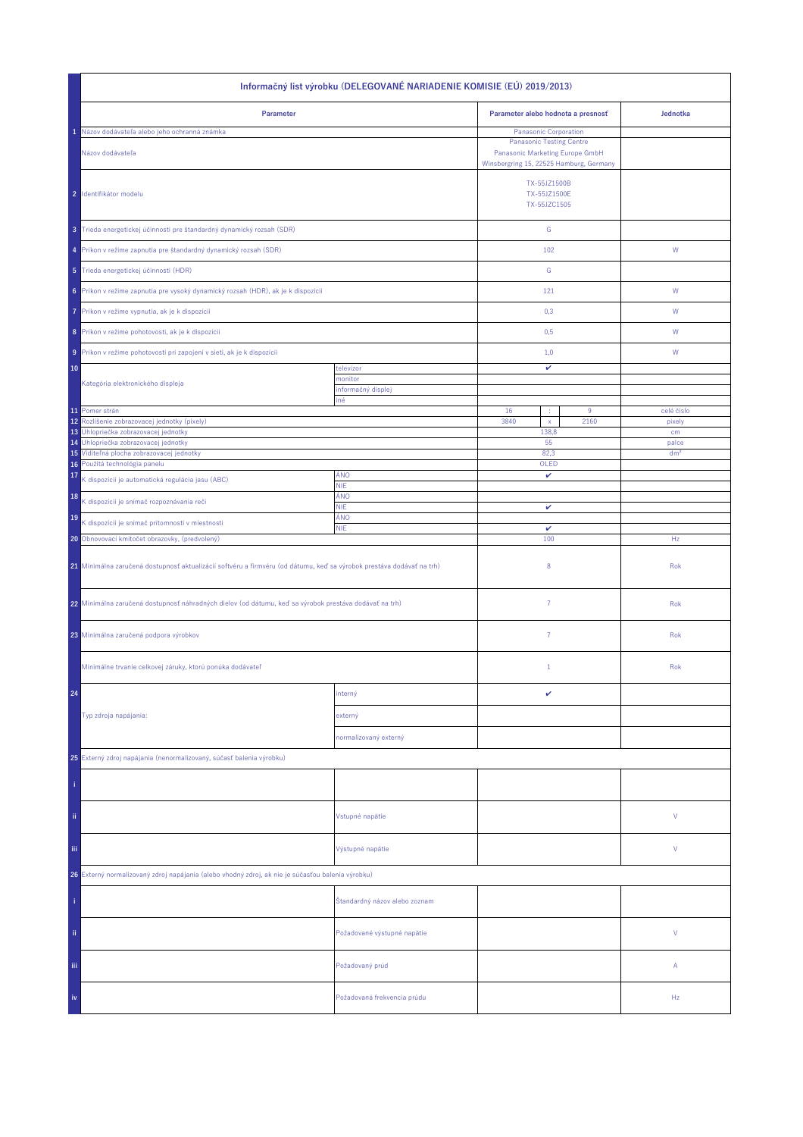| Informačný list výrobku (DELEGOVANÉ NARIADENIE KOMISIE (EÚ) 2019/2013)                                                |                               |                                                                                                               |                                              |                          |  |
|-----------------------------------------------------------------------------------------------------------------------|-------------------------------|---------------------------------------------------------------------------------------------------------------|----------------------------------------------|--------------------------|--|
| Parameter                                                                                                             |                               | Parameter alebo hodnota a presnosť                                                                            |                                              | Jednotka                 |  |
| Názov dodávateľa alebo jeho ochranná známka                                                                           |                               | Panasonic Corporation                                                                                         |                                              |                          |  |
| Názov dodávateľa                                                                                                      |                               | <b>Panasonic Testing Centre</b><br>Panasonic Marketing Europe GmbH<br>Winsbergring 15, 22525 Hamburg, Germany |                                              |                          |  |
| 2 Identifikátor modelu                                                                                                |                               |                                                                                                               | TX-55JZ1500B<br>TX-55JZ1500E<br>TX-55JZC1505 |                          |  |
| 3 Trieda energetickej účinnosti pre štandardný dynamický rozsah (SDR)                                                 |                               | ${\mathbb G}$                                                                                                 |                                              |                          |  |
| 4 Príkon v režime zapnutia pre štandardný dynamický rozsah (SDR)                                                      |                               | 102                                                                                                           |                                              | W                        |  |
| 5 Trieda energetickej účinnosti (HDR)                                                                                 |                               | ${\mathbb G}$                                                                                                 |                                              |                          |  |
| 6 Príkon v režime zapnutia pre vysoký dynamický rozsah (HDR), ak je k dispozícii                                      |                               | 121                                                                                                           |                                              | W                        |  |
| Príkon v režime vypnutia, ak je k dispozícii<br>7                                                                     |                               | 0,3                                                                                                           |                                              | W                        |  |
| 8 Príkon v režime pohotovosti, ak je k dispozícii                                                                     |                               | 0,5                                                                                                           |                                              | W                        |  |
| 9 Príkon v režime pohotovosti pri zapojení v sieti, ak je k dispozícii                                                |                               | 1,0                                                                                                           |                                              | W                        |  |
| 10                                                                                                                    | televízor                     | v                                                                                                             |                                              |                          |  |
| Kategória elektronického displeja                                                                                     | monitor<br>informačný displej |                                                                                                               |                                              |                          |  |
| 11 Pomer strán                                                                                                        | iné                           | 16<br>×                                                                                                       | 9                                            | celé číslo               |  |
| 12<br>Rozlíšenie zobrazovacej jednotky (pixely)                                                                       |                               | 3840<br>$\mathsf X$                                                                                           | 2160                                         | pixely                   |  |
| Uhlopriečka zobrazovacej jednotky<br>13                                                                               |                               | 138,8                                                                                                         |                                              | cm                       |  |
| Uhlopriečka zobrazovacej jednotky<br>14<br>15 Viditeľná plocha zobrazovacej jednotky                                  |                               | 55<br>82,3                                                                                                    |                                              | palce<br>dm <sup>2</sup> |  |
| 16 Použitá technológia panelu                                                                                         |                               | OLED                                                                                                          |                                              |                          |  |
| 17<br>K dispozícii je automatická regulácia jasu (ABC)                                                                | ÁNO<br><b>NIE</b>             | v                                                                                                             |                                              |                          |  |
| 18<br>K dispozícii je snímač rozpoznávania reči                                                                       | ÁNO                           |                                                                                                               |                                              |                          |  |
| 19                                                                                                                    | <b>NIE</b><br>ÁNO             | v                                                                                                             |                                              |                          |  |
| K dispozícii je snímač prítomnosti v miestnosti                                                                       | <b>NIE</b>                    | $\checkmark$                                                                                                  |                                              |                          |  |
| 20 Obnovovací kmitočet obrazovky, (predvolený)                                                                        |                               | 100                                                                                                           |                                              | Hz                       |  |
| 21 Minimálna zaručená dostupnosť aktualizácií softvéru a firmvéru (od dátumu, keď sa výrobok prestáva dodávať na trh) |                               | 8                                                                                                             |                                              | Rok                      |  |
| 22 Minimálna zaručená dostupnosť náhradných dielov (od dátumu, keď sa výrobok prestáva dodávať na trh)                |                               | $\overline{7}$                                                                                                |                                              | Rok                      |  |
| 23 Minimálna zaručená podpora výrobkov                                                                                |                               | 7                                                                                                             |                                              | Rok                      |  |
| Minimálne trvanie celkovej záruky, ktorú ponúka dodávateľ                                                             |                               | $\mathbf{1}$                                                                                                  |                                              | Rok                      |  |
| 24                                                                                                                    | interný                       | v                                                                                                             |                                              |                          |  |
| Typ zdroja napájania:                                                                                                 | externý                       |                                                                                                               |                                              |                          |  |
|                                                                                                                       | normalizovaný externý         |                                                                                                               |                                              |                          |  |
| 25 Externý zdroj napájania (nenormalizovaný, súčasť balenia výrobku)                                                  |                               |                                                                                                               |                                              |                          |  |
|                                                                                                                       |                               |                                                                                                               |                                              |                          |  |
|                                                                                                                       |                               |                                                                                                               |                                              |                          |  |
| ii.                                                                                                                   | Vstupné napätie               |                                                                                                               |                                              | V                        |  |
| Ϊij                                                                                                                   | Výstupné napätie              |                                                                                                               |                                              | V                        |  |
| 26 Externý normalizovaný zdroj napájania (alebo vhodný zdroj, ak nie je súčasťou balenia výrobku)                     |                               |                                                                                                               |                                              |                          |  |
|                                                                                                                       | Štandardný názov alebo zoznam |                                                                                                               |                                              |                          |  |
| ij,                                                                                                                   | Požadované výstupné napätie   |                                                                                                               |                                              | V                        |  |
| Ϊij                                                                                                                   | Požadovaný prúd               |                                                                                                               |                                              | Α                        |  |
| iv                                                                                                                    | Požadovaná frekvencia prúdu   |                                                                                                               |                                              | Hz                       |  |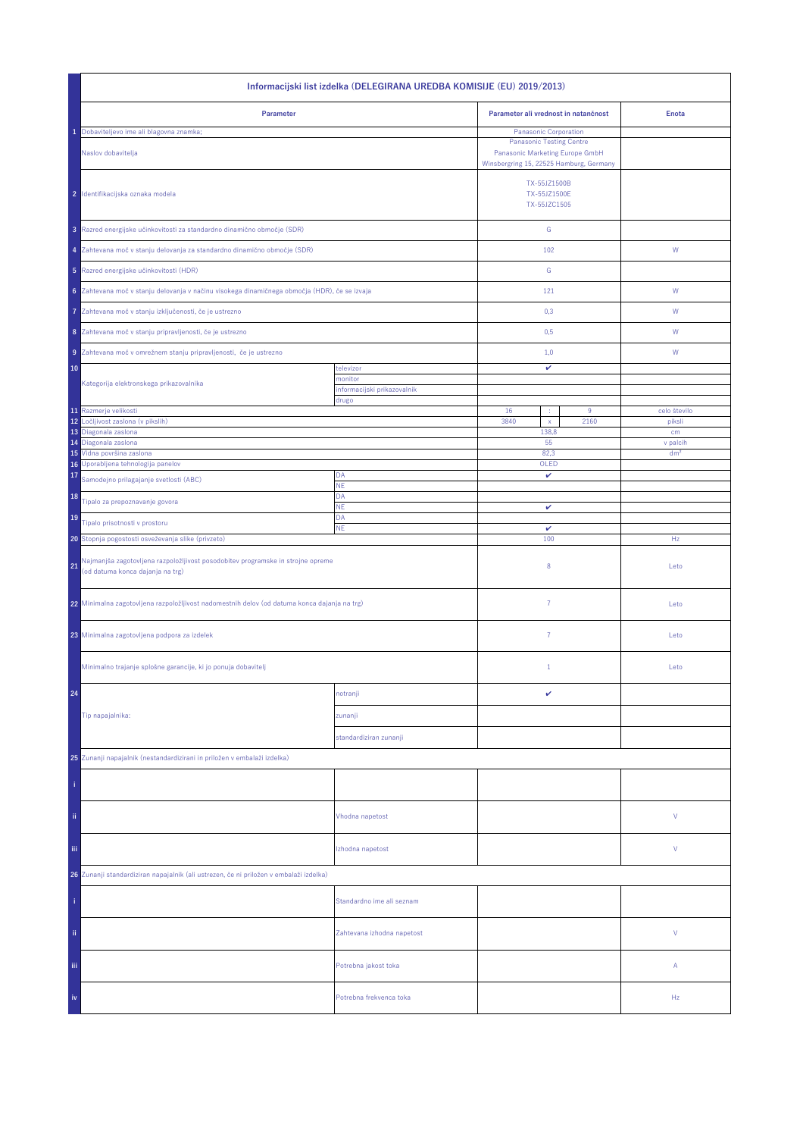| Informacijski list izdelka (DELEGIRANA UREDBA KOMISIJE (EU) 2019/2013)                                                    |                                        |                                                                                                               |                        |  |  |
|---------------------------------------------------------------------------------------------------------------------------|----------------------------------------|---------------------------------------------------------------------------------------------------------------|------------------------|--|--|
| Parameter                                                                                                                 |                                        | Parameter ali vrednost in natančnost                                                                          | <b>Enota</b>           |  |  |
| Dobaviteljevo ime ali blagovna znamka;                                                                                    |                                        | Panasonic Corporation                                                                                         |                        |  |  |
| Naslov dobavitelja                                                                                                        |                                        | <b>Panasonic Testing Centre</b><br>Panasonic Marketing Europe GmbH<br>Winsbergring 15, 22525 Hamburg, Germany |                        |  |  |
| 2 Identifikacijska oznaka modela                                                                                          |                                        | TX-55JZ1500B<br>TX-55JZ1500E<br>TX-55JZC1505                                                                  |                        |  |  |
| 3 Razred energijske učinkovitosti za standardno dinamično območje (SDR)                                                   |                                        | ${\mathbb G}$                                                                                                 |                        |  |  |
| 4 Zahtevana moč v stanju delovanja za standardno dinamično območje (SDR)                                                  |                                        | 102                                                                                                           | W                      |  |  |
| 5 Razred energijske učinkovitosti (HDR)                                                                                   |                                        | ${\mathbb G}$                                                                                                 |                        |  |  |
| 6 Zahtevana moč v stanju delovanja v načinu visokega dinamičnega območja (HDR), če se izvaja                              |                                        | 121                                                                                                           | ${\sf W}$              |  |  |
| Zahtevana moč v stanju izključenosti, če je ustrezno<br>7                                                                 |                                        | 0,3                                                                                                           | W                      |  |  |
| 8 Zahtevana moč v stanju pripravljenosti, če je ustrezno                                                                  |                                        | 0,5                                                                                                           | W                      |  |  |
| 9 Zahtevana moč v omrežnem stanju pripravljenosti, če je ustrezno                                                         |                                        | 1,0                                                                                                           | W                      |  |  |
| 10                                                                                                                        | televizor                              | v                                                                                                             |                        |  |  |
| Kategorija elektronskega prikazovalnika                                                                                   | monitor<br>informacijski prikazovalnik |                                                                                                               |                        |  |  |
|                                                                                                                           | drugo                                  |                                                                                                               |                        |  |  |
| 11 Razmerje velikosti<br>12<br>Ločljivost zaslona (v pikslih)                                                             |                                        | 16<br>9<br>3840<br>2160                                                                                       | celo število<br>piksli |  |  |
| 13 Diagonala zaslona                                                                                                      |                                        | $\mathsf X$<br>138,8                                                                                          | cm                     |  |  |
| 14 Diagonala zaslona                                                                                                      |                                        | 55                                                                                                            | v palcih               |  |  |
| 15 Vidna površina zaslona<br>16 Uporabljena tehnologija panelov                                                           |                                        | 82,3<br>OLED                                                                                                  | dm <sup>2</sup>        |  |  |
| 17<br>Samodejno prilagajanje svetlosti (ABC)                                                                              | DA                                     | v                                                                                                             |                        |  |  |
| 18                                                                                                                        | NE<br>DA                               |                                                                                                               |                        |  |  |
| Tipalo za prepoznavanje govora                                                                                            | <b>NE</b>                              | v                                                                                                             |                        |  |  |
| 19<br>Tipalo prisotnosti v prostoru                                                                                       | DA<br><b>NE</b>                        | $\checkmark$                                                                                                  |                        |  |  |
| 20 Stopnja pogostosti osveževanja slike (privzeto)                                                                        |                                        | 100                                                                                                           | Hz                     |  |  |
| Najmanjša zagotovljena razpoložljivost posodobitev programske in strojne opreme<br>21<br>(od datuma konca dajanja na trg) |                                        | 8                                                                                                             | Leto                   |  |  |
| 22 Minimalna zagotovljena razpoložljivost nadomestnih delov (od datuma konca dajanja na trg)                              |                                        | $\overline{7}$                                                                                                | Leto                   |  |  |
| 23 Minimalna zagotovljena podpora za izdelek                                                                              |                                        | $\overline{7}$                                                                                                | Leto                   |  |  |
| Minimalno trajanje splošne garancije, ki jo ponuja dobavitelj                                                             |                                        | $\mathbf{1}$                                                                                                  | Leto                   |  |  |
| 24                                                                                                                        | notranji                               | v                                                                                                             |                        |  |  |
| Tip napajalnika:                                                                                                          | zunanji                                |                                                                                                               |                        |  |  |
|                                                                                                                           | standardiziran zunanji                 |                                                                                                               |                        |  |  |
|                                                                                                                           |                                        |                                                                                                               |                        |  |  |
| 25 Zunanji napajalnik (nestandardizirani in priložen v embalaži izdelka)                                                  |                                        |                                                                                                               |                        |  |  |
|                                                                                                                           |                                        |                                                                                                               |                        |  |  |
| ii.                                                                                                                       | Vhodna napetost                        |                                                                                                               | ٧                      |  |  |
| Ϊij                                                                                                                       | Izhodna napetost                       |                                                                                                               | ٧                      |  |  |
| 26 Zunanji standardiziran napajalnik (ali ustrezen, če ni priložen v embalaži izdelka)                                    |                                        |                                                                                                               |                        |  |  |
|                                                                                                                           | Standardno ime ali seznam              |                                                                                                               |                        |  |  |
| ii.                                                                                                                       | Zahtevana izhodna napetost             |                                                                                                               | V                      |  |  |
| iii.                                                                                                                      | Potrebna jakost toka                   |                                                                                                               | Α                      |  |  |
| iv                                                                                                                        | Potrebna frekvenca toka                |                                                                                                               | Hz                     |  |  |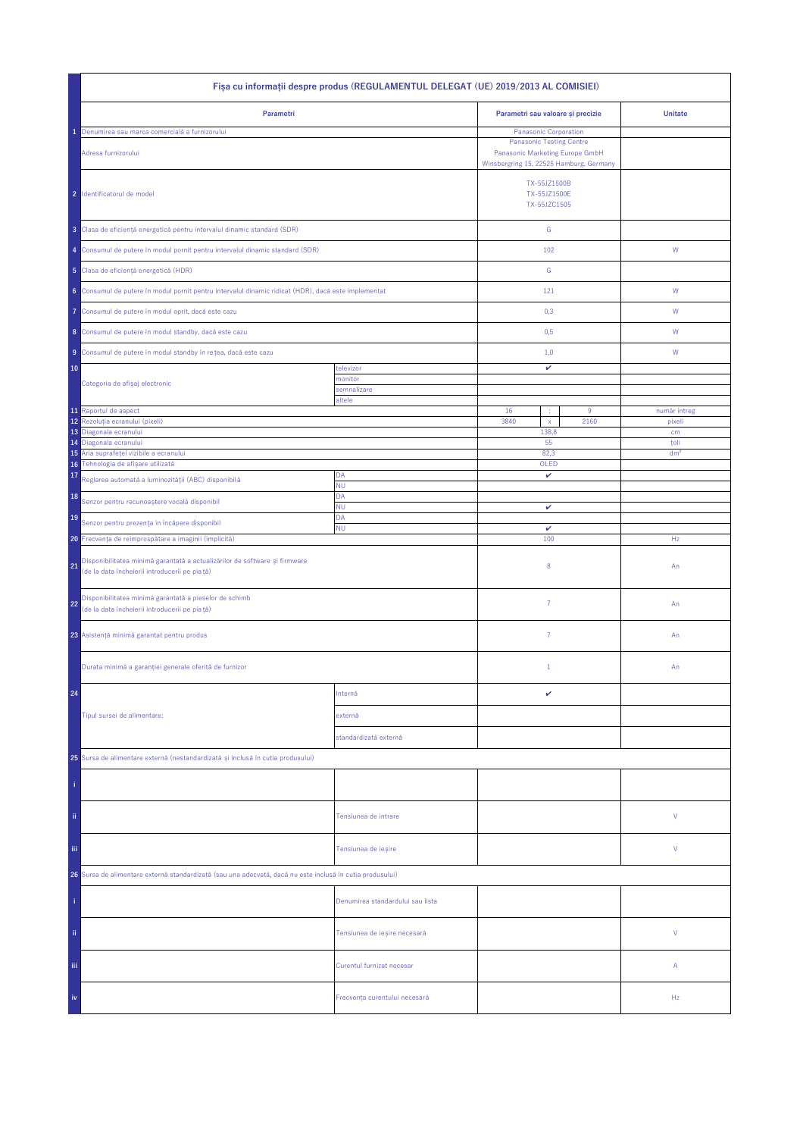| Fisa cu informații despre produs (REGULAMENTUL DELEGAT (UE) 2019/2013 AL COMISIEI)                                                |                                  |                                                                                                                                        |      |                 |  |
|-----------------------------------------------------------------------------------------------------------------------------------|----------------------------------|----------------------------------------------------------------------------------------------------------------------------------------|------|-----------------|--|
| Parametri                                                                                                                         |                                  | Parametri sau valoare și precizie                                                                                                      |      | <b>Unitate</b>  |  |
| Denumirea sau marca comercială a furnizorului<br>Adresa furnizorului                                                              |                                  | Panasonic Corporation<br><b>Panasonic Testing Centre</b><br>Panasonic Marketing Europe GmbH<br>Winsbergring 15, 22525 Hamburg, Germany |      |                 |  |
| 2 Identificatorul de model                                                                                                        |                                  | TX-55JZ1500B<br>TX-55JZ1500E<br>TX-55JZC1505                                                                                           |      |                 |  |
| 3 Clasa de eficiență energetică pentru intervalul dinamic standard (SDR)                                                          |                                  | ${\mathbb G}$                                                                                                                          |      |                 |  |
| 4 Consumul de putere în modul pornit pentru intervalul dinamic standard (SDR)                                                     |                                  | 102                                                                                                                                    |      | W               |  |
| 5 Clasa de eficiență energetică (HDR)                                                                                             |                                  | G                                                                                                                                      |      |                 |  |
| 6 Consumul de putere în modul pornit pentru intervalul dinamic ridicat (HDR), dacă este implementat                               |                                  | 121                                                                                                                                    |      | W               |  |
| Consumul de putere în modul oprit, dacă este cazu<br>7                                                                            |                                  | 0,3                                                                                                                                    |      | W               |  |
| 8 Consumul de putere în modul standby, dacă este cazu                                                                             |                                  | 0,5                                                                                                                                    |      | W               |  |
| 9 Consumul de putere în modul standby în rețea, dacă este cazu                                                                    |                                  | 1,0                                                                                                                                    |      | W               |  |
| 10                                                                                                                                | televizor<br>monitor             | v                                                                                                                                      |      |                 |  |
| Categoria de afișaj electronic                                                                                                    | semnalizare                      |                                                                                                                                        |      |                 |  |
| 11 Raportul de aspect                                                                                                             | altele                           | 16<br>÷                                                                                                                                | 9    | număr întreg    |  |
| 12<br>Rezoluția ecranului (pixeli)                                                                                                |                                  | 3840<br>$\mathsf{x}$                                                                                                                   | 2160 | pixeli          |  |
| 13<br>Diagonala ecranului<br>Diagonala ecranului<br>14                                                                            |                                  | 138,8<br>55                                                                                                                            |      | cm<br>toli      |  |
| Aria suprafeței vizibile a ecranului<br>15                                                                                        |                                  | 82,3                                                                                                                                   |      | dm <sup>2</sup> |  |
| Tehnologia de afișare utilizată<br>16                                                                                             |                                  | OLED                                                                                                                                   |      |                 |  |
| 17<br>Reglarea automată a luminozității (ABC) disponibilă                                                                         | DA<br><b>NU</b>                  | v                                                                                                                                      |      |                 |  |
| 18<br>Senzor pentru recunoaștere vocală disponibil                                                                                | DA<br><b>NU</b>                  | v                                                                                                                                      |      |                 |  |
| 19<br>Senzor pentru prezența în încăpere disponibil                                                                               | DA<br><b>NU</b>                  | $\checkmark$                                                                                                                           |      |                 |  |
| 20 Frecvența de reîmprospătare a imaginii (implicită)                                                                             |                                  | 100                                                                                                                                    |      | Hz              |  |
| Disponibilitatea minimă garantată a actualizărilor de software și firmware<br>21<br>(de la data încheierii introducerii pe piață) |                                  | 8                                                                                                                                      |      | An              |  |
| Disponibilitatea minimă garantată a pieselor de schimb<br>22<br>(de la data încheierii introducerii pe piață)                     |                                  | $\overline{7}$                                                                                                                         |      | An              |  |
| 23 Asistență minimă garantat pentru produs                                                                                        |                                  | $\overline{7}$                                                                                                                         |      | An              |  |
| Durata minimă a garanției generale oferită de furnizor                                                                            |                                  | $1\,$                                                                                                                                  |      | An              |  |
| 24                                                                                                                                | Internă                          | v                                                                                                                                      |      |                 |  |
| Tipul sursei de alimentare:                                                                                                       | externă                          |                                                                                                                                        |      |                 |  |
|                                                                                                                                   | standardizată externă            |                                                                                                                                        |      |                 |  |
| 25 Sursa de alimentare externă (nestandardizată și inclusă în cutia produsului)                                                   |                                  |                                                                                                                                        |      |                 |  |
|                                                                                                                                   |                                  |                                                                                                                                        |      |                 |  |
| ii.                                                                                                                               | Tensiunea de intrare             |                                                                                                                                        |      | ٧               |  |
| Ϊij                                                                                                                               | Tensiunea de ieșire              |                                                                                                                                        |      | ٧               |  |
| 26 Sursa de alimentare externă standardizată (sau una adecvată, dacă nu este inclusă în cutia produsului)                         |                                  |                                                                                                                                        |      |                 |  |
|                                                                                                                                   | Denumirea standardului sau lista |                                                                                                                                        |      |                 |  |
| ii.                                                                                                                               | Tensiunea de ieșire necesară     |                                                                                                                                        |      | V               |  |
| Ϊij                                                                                                                               | Curentul furnizat necesar        |                                                                                                                                        |      | Α               |  |
| iv                                                                                                                                | Frecvența curentului necesară    |                                                                                                                                        |      | Hz              |  |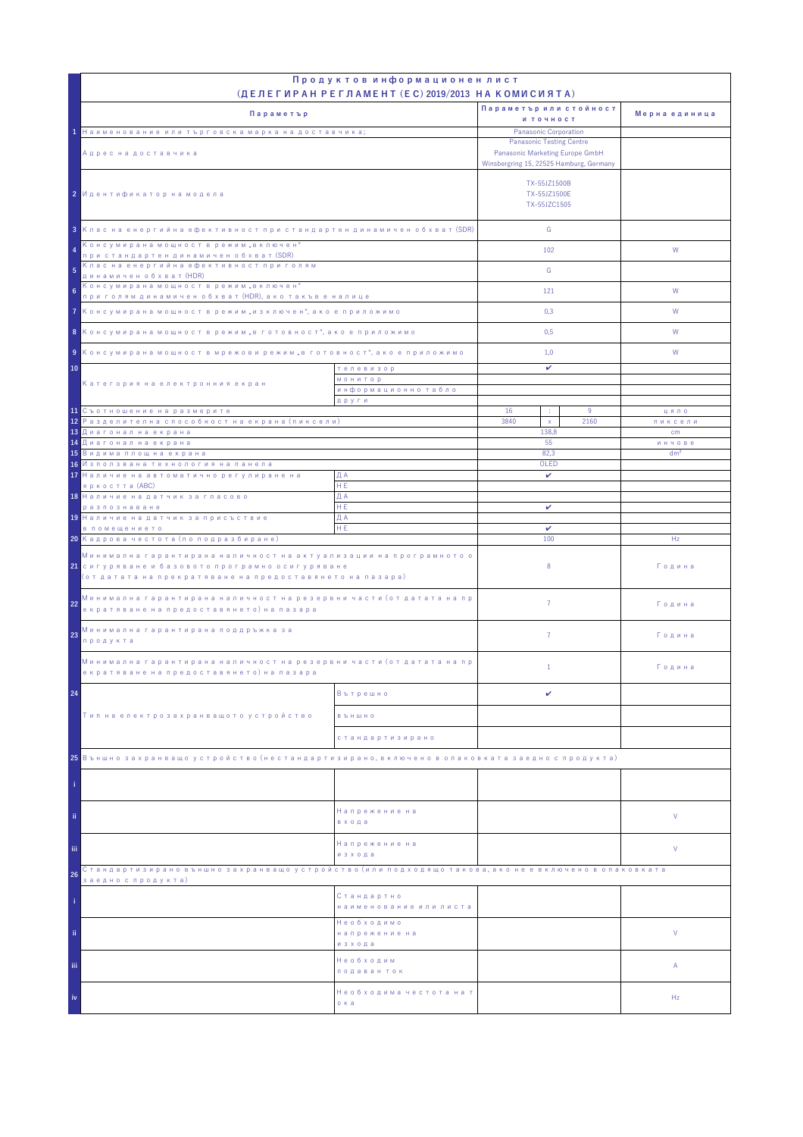|                                                                                                                                                                                            | Продуктов информационен лист<br>(ДЕЛЕГИРАН РЕГЛАМЕНТ (EC) 2019/2013 НА КОМИСИЯТА) |                                                                                                               |                 |               |
|--------------------------------------------------------------------------------------------------------------------------------------------------------------------------------------------|-----------------------------------------------------------------------------------|---------------------------------------------------------------------------------------------------------------|-----------------|---------------|
|                                                                                                                                                                                            |                                                                                   | Параметър или стойност                                                                                        |                 |               |
| Параметър                                                                                                                                                                                  |                                                                                   | и точност                                                                                                     |                 | Мерна единица |
| 1 Наименование или търговска марка на доставчика;                                                                                                                                          |                                                                                   | Panasonic Corporation                                                                                         |                 |               |
| Адрес на доставчика                                                                                                                                                                        |                                                                                   | <b>Panasonic Testing Centre</b><br>Panasonic Marketing Europe GmbH<br>Winsbergring 15, 22525 Hamburg, Germany |                 |               |
| 2 Идентификатор на модела                                                                                                                                                                  |                                                                                   | TX-55JZ1500B<br>TX-55JZ1500E<br>TX-55JZC1505                                                                  |                 |               |
| 3 Клас на енергийна ефективност при стандартен динамичен обхват (SDR)                                                                                                                      |                                                                                   | G                                                                                                             |                 |               |
| Консумирана мощност в режим "включен"<br>4<br>при стандартен динамичен обхват (SDR)<br>Клас на енергийна ефективност при голям                                                             |                                                                                   | 102                                                                                                           |                 | W             |
| 5<br>динамичен обхват (HDR)                                                                                                                                                                |                                                                                   | G                                                                                                             |                 |               |
| Консумирана мощност в режим "включен"<br>6<br>при голям динамичен обхват (HDR), ако такъв е налице                                                                                         |                                                                                   | 121                                                                                                           |                 | W             |
| 7 Консумирана мощност в режим "изключен", ако е приложимо                                                                                                                                  |                                                                                   | 0,3                                                                                                           |                 | W             |
| 8 Консумирана мощност в режим "в готовност", ако е приложимо                                                                                                                               |                                                                                   | 0,5                                                                                                           |                 | W             |
|                                                                                                                                                                                            |                                                                                   |                                                                                                               |                 |               |
| 9 Консумирана мощност в мрежови режим "в готовност", ако е приложимо<br>10<br>телевизор                                                                                                    |                                                                                   | 1,0<br>v                                                                                                      |                 | W             |
| Категория на електронния екран                                                                                                                                                             | <b>МОНИТОР</b>                                                                    |                                                                                                               |                 |               |
|                                                                                                                                                                                            | информационно табло<br>други                                                      |                                                                                                               |                 |               |
| 11 Съотношение на размерите                                                                                                                                                                |                                                                                   | 16<br>÷                                                                                                       | 9               | цяло          |
| <mark>12</mark> Разделителна способност на екрана (пиксели)                                                                                                                                |                                                                                   | 3840<br>$\mathsf X$                                                                                           | 2160            | пиксели       |
| 13 Диагонал на екрана<br><mark>14 Диагонал на екрана</mark>                                                                                                                                |                                                                                   | 138.8<br>55                                                                                                   |                 | cm<br>инчове  |
| <mark>15</mark> Видима площ на екрана                                                                                                                                                      | 82,3                                                                              |                                                                                                               | dm <sup>2</sup> |               |
| 16 Използвана технология на панела<br>17 Наличие на автоматично регулиране на                                                                                                              | ДА                                                                                | OLED<br>$\checkmark$                                                                                          |                 |               |
| яркостта (ABC)                                                                                                                                                                             | HE.                                                                               |                                                                                                               |                 |               |
| 18 Наличие на датчик за гласово                                                                                                                                                            | ДА                                                                                |                                                                                                               |                 |               |
| разпознаване<br>19 Наличие на датчик за присъствие                                                                                                                                         | HE.<br>ДА                                                                         | v                                                                                                             |                 |               |
| в помещението                                                                                                                                                                              | HE                                                                                | v                                                                                                             |                 |               |
| 20 Кадрова честота (по подразбиране)                                                                                                                                                       |                                                                                   | 100                                                                                                           |                 | Hz            |
| Минимална гарантирана наличност на актуализации на програмното о<br><mark>21</mark> сигуряване и базовото програмно осигуряване<br>(от датата на прекратяване на предоставянето на пазара) |                                                                                   | 8                                                                                                             |                 | Година        |
| Минимална гарантирана наличност на резервни части (от датата на пр<br>22<br>екратяване на предоставянето) на пазара                                                                        |                                                                                   | $\overline{7}$                                                                                                |                 | Година        |
| Минимална гарантирана поддръжка за<br>23<br>продукта                                                                                                                                       |                                                                                   | $\overline{7}$                                                                                                |                 | Година        |
| Минимална гарантирана наличност на резервни части (от датата на пр<br>екратяване на предоставянето) на пазара                                                                              |                                                                                   | $\mathbf{1}$                                                                                                  |                 | Година        |
| 24                                                                                                                                                                                         | Вътрешно                                                                          | v                                                                                                             |                 |               |
| Тип на електрозахранващото устройство                                                                                                                                                      | <b>B Ъ Н Ш Н О</b>                                                                |                                                                                                               |                 |               |
|                                                                                                                                                                                            | стандартизирано                                                                   |                                                                                                               |                 |               |
| 25 Външно захранващо устройство (нестандартизирано, включено в опаковката заедно с продукта)                                                                                               |                                                                                   |                                                                                                               |                 |               |
|                                                                                                                                                                                            |                                                                                   |                                                                                                               |                 |               |
| ii.                                                                                                                                                                                        | Напрежение на<br>входа                                                            |                                                                                                               |                 | V             |
| iii.                                                                                                                                                                                       | Напрежение на<br>изхода                                                           |                                                                                                               |                 | V             |
| Стандартизирано външно захранващо устройство (или подходящо такова, ако не е включено в опаковката<br>26                                                                                   |                                                                                   |                                                                                                               |                 |               |
| заедно с продукта)                                                                                                                                                                         | Стандартно<br>наименование или листа                                              |                                                                                                               |                 |               |
| ii.                                                                                                                                                                                        | Необходимо<br>напрежение на<br>изхода                                             |                                                                                                               |                 | V             |
| iii.                                                                                                                                                                                       | Необходим<br>подаван ток                                                          |                                                                                                               |                 | Α             |
| iv                                                                                                                                                                                         | Необходима честота на т<br>о ка                                                   |                                                                                                               |                 | Hz            |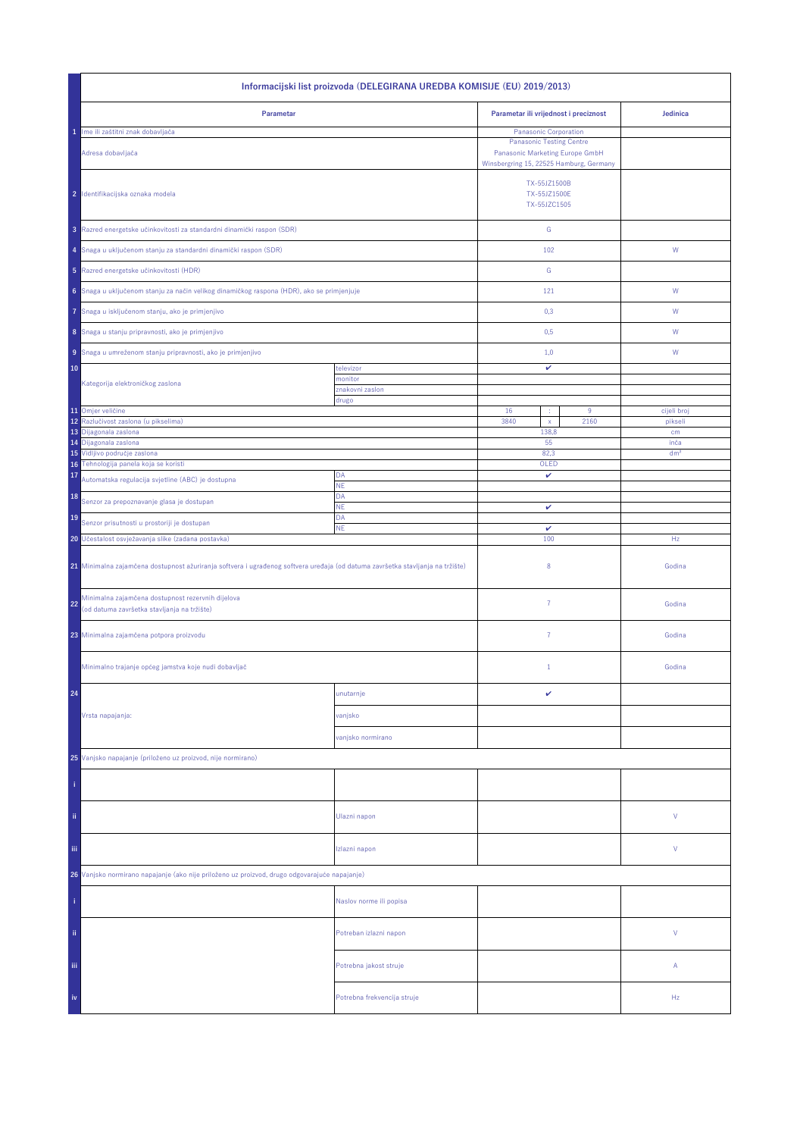| Informacijski list proizvoda (DELEGIRANA UREDBA KOMISIJE (EU) 2019/2013)                                                                                                             |                             |                                              |                                                                                                               |                        |  |
|--------------------------------------------------------------------------------------------------------------------------------------------------------------------------------------|-----------------------------|----------------------------------------------|---------------------------------------------------------------------------------------------------------------|------------------------|--|
| Parametar                                                                                                                                                                            |                             | Parametar ili vrijednost i preciznost        |                                                                                                               | Jedinica               |  |
| Ime ili zaštitni znak dobavljača<br>1                                                                                                                                                |                             | Panasonic Corporation                        |                                                                                                               |                        |  |
| Adresa dobavljača                                                                                                                                                                    |                             |                                              | <b>Panasonic Testing Centre</b><br>Panasonic Marketing Europe GmbH<br>Winsbergring 15, 22525 Hamburg, Germany |                        |  |
| 2 Identifikacijska oznaka modela                                                                                                                                                     |                             | TX-55JZ1500B<br>TX-55JZ1500E<br>TX-55JZC1505 |                                                                                                               |                        |  |
| 3 Razred energetske učinkovitosti za standardni dinamički raspon (SDR)                                                                                                               |                             | ${\mathbb G}$                                |                                                                                                               |                        |  |
| 4 Snaga u uključenom stanju za standardni dinamički raspon (SDR)                                                                                                                     |                             | 102                                          |                                                                                                               | W                      |  |
| 5 Razred energetske učinkovitosti (HDR)                                                                                                                                              |                             | ${\mathbb G}$                                |                                                                                                               |                        |  |
| 6 Snaga u uključenom stanju za način velikog dinamičkog raspona (HDR), ako se primjenjuje                                                                                            |                             | 121                                          |                                                                                                               | ${\sf W}$              |  |
| Snaga u isključenom stanju, ako je primjenjivo<br>7                                                                                                                                  |                             | 0,3                                          |                                                                                                               | W                      |  |
| 8 Snaga u stanju pripravnosti, ako je primjenjivo                                                                                                                                    |                             | 0,5                                          |                                                                                                               | W                      |  |
| 9 Snaga u umreženom stanju pripravnosti, ako je primjenjivo                                                                                                                          |                             | 1,0                                          |                                                                                                               | W                      |  |
| 10                                                                                                                                                                                   | televizor<br>monitor        | v                                            |                                                                                                               |                        |  |
| Kategorija elektroničkog zaslona                                                                                                                                                     | znakovni zaslon             |                                              |                                                                                                               |                        |  |
|                                                                                                                                                                                      | drugo                       |                                              |                                                                                                               |                        |  |
| 11 Omjer veličine<br>Razlučivost zaslona (u pikselima)<br>12                                                                                                                         |                             | 16<br>3840<br>$\mathsf X$                    | 9<br>2160                                                                                                     | cijeli broj<br>pikseli |  |
| 13<br>Dijagonala zaslona                                                                                                                                                             |                             | 138,8                                        |                                                                                                               | cm                     |  |
| 14 Dijagonala zaslona                                                                                                                                                                |                             | 55                                           |                                                                                                               | inča                   |  |
| 15 Vidljivo područje zaslona<br>16 Tehnologija panela koja se koristi                                                                                                                |                             | 82,3<br>OLED                                 |                                                                                                               | dm <sup>2</sup>        |  |
| 17<br>Automatska regulacija svjetline (ABC) je dostupna                                                                                                                              | DA                          | v                                            |                                                                                                               |                        |  |
| 18                                                                                                                                                                                   | NE<br>DA                    |                                              |                                                                                                               |                        |  |
| Senzor za prepoznavanje glasa je dostupan<br>19                                                                                                                                      | <b>NE</b><br>DA             | v                                            |                                                                                                               |                        |  |
| Senzor prisutnosti u prostoriji je dostupan<br>ΝE                                                                                                                                    |                             | $\checkmark$<br>100                          |                                                                                                               |                        |  |
| 20 Učestalost osvježavanja slike (zadana postavka)<br>21 Minimalna zajamčena dostupnost ažuriranja softvera i ugrađenog softvera uređaja (od datuma završetka stavljanja na tržište) |                             | 8                                            |                                                                                                               | Hz<br>Godina           |  |
| Minimalna zajamčena dostupnost rezervnih dijelova<br>22<br>(od datuma završetka stavljanja na tržište)                                                                               |                             | $\overline{7}$                               |                                                                                                               | Godina                 |  |
| 23 Minimalna zajamčena potpora proizvodu                                                                                                                                             |                             | 7                                            |                                                                                                               | Godina                 |  |
| Minimalno trajanje općeg jamstva koje nudi dobavljač                                                                                                                                 |                             | $\mathbf{1}$                                 |                                                                                                               | Godina                 |  |
| 24                                                                                                                                                                                   | unutarnje                   | v                                            |                                                                                                               |                        |  |
| Vrsta napajanja:                                                                                                                                                                     | vanjsko                     |                                              |                                                                                                               |                        |  |
|                                                                                                                                                                                      | vanjsko normirano           |                                              |                                                                                                               |                        |  |
| 25 Vanjsko napajanje (priloženo uz proizvod, nije normirano)                                                                                                                         |                             |                                              |                                                                                                               |                        |  |
|                                                                                                                                                                                      |                             |                                              |                                                                                                               |                        |  |
| ii.                                                                                                                                                                                  | Ulazni napon                |                                              |                                                                                                               | V                      |  |
| Ϊij                                                                                                                                                                                  | Izlazni napon               |                                              |                                                                                                               | V                      |  |
| 26 Vanjsko normirano napajanje (ako nije priloženo uz proizvod, drugo odgovarajuće napajanje)                                                                                        |                             |                                              |                                                                                                               |                        |  |
|                                                                                                                                                                                      | Naslov norme ili popisa     |                                              |                                                                                                               |                        |  |
| ii.                                                                                                                                                                                  | Potreban izlazni napon      |                                              |                                                                                                               | V                      |  |
| iii,                                                                                                                                                                                 | Potrebna jakost struje      |                                              |                                                                                                               | А                      |  |
| iv                                                                                                                                                                                   | Potrebna frekvencija struje |                                              |                                                                                                               | Hz                     |  |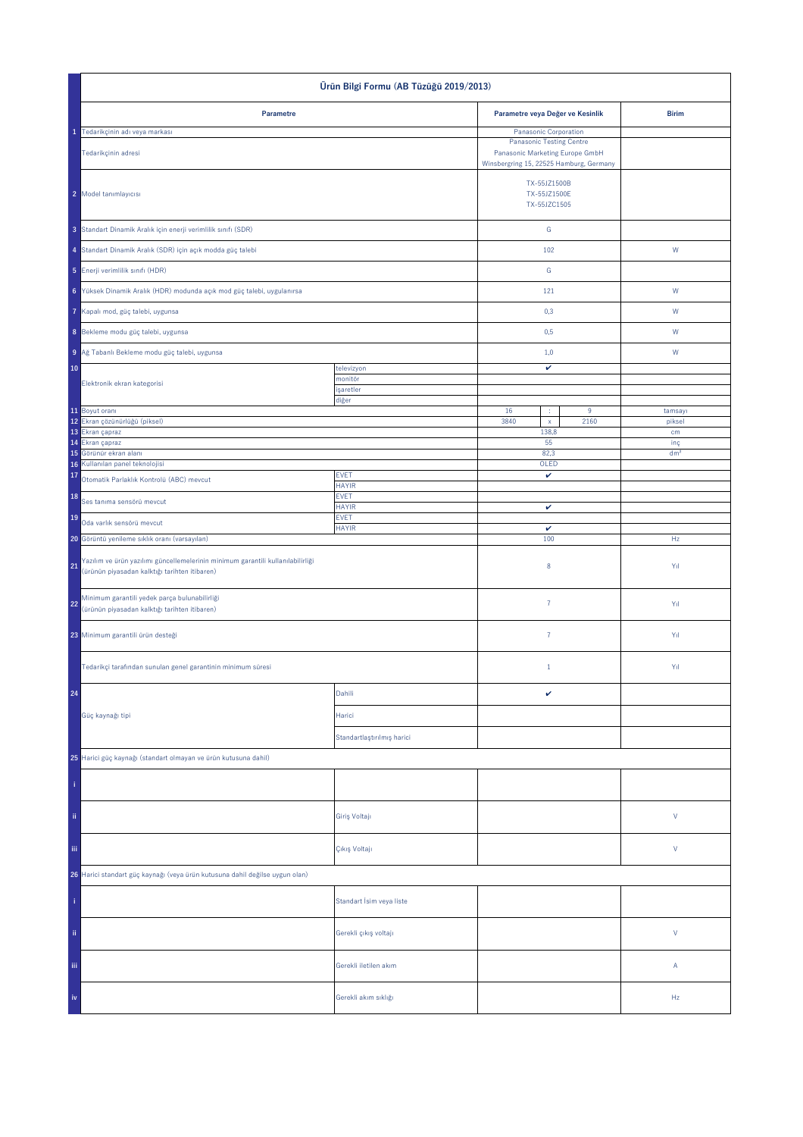| Ürün Bilgi Formu (AB Tüzüğü 2019/2013)                                                                                                 |                             |                                                                                                               |                  |                        |
|----------------------------------------------------------------------------------------------------------------------------------------|-----------------------------|---------------------------------------------------------------------------------------------------------------|------------------|------------------------|
| Parametre                                                                                                                              |                             | Parametre veya Değer ve Kesinlik                                                                              |                  | <b>Birim</b>           |
| 1 Tedarikçinin adı veya markası                                                                                                        |                             | Panasonic Corporation                                                                                         |                  |                        |
| Tedarikçinin adresi                                                                                                                    |                             | <b>Panasonic Testing Centre</b><br>Panasonic Marketing Europe GmbH<br>Winsbergring 15, 22525 Hamburg, Germany |                  |                        |
| 2 Model tanımlayıcısı                                                                                                                  |                             | TX-55JZ1500B<br>TX-55JZ1500E<br>TX-55JZC1505                                                                  |                  |                        |
| 3 Standart Dinamik Aralık için enerji verimlilik sınıfı (SDR)                                                                          |                             | ${\mathsf G}$                                                                                                 |                  |                        |
| 4 Standart Dinamik Aralık (SDR) için açık modda güç talebi                                                                             |                             | 102                                                                                                           |                  | ${\sf W}$              |
| 5 Enerji verimlilik sınıfı (HDR)                                                                                                       |                             | ${\mathbb G}$                                                                                                 |                  |                        |
| 6 Yüksek Dinamik Aralık (HDR) modunda açık mod güç talebi, uygulanırsa                                                                 |                             | 121                                                                                                           |                  | W                      |
| Kapalı mod, güç talebi, uygunsa                                                                                                        |                             | 0,3                                                                                                           |                  | W                      |
| 8 Bekleme modu güç talebi, uygunsa                                                                                                     |                             | 0,5                                                                                                           |                  | W                      |
| 9 Ağ Tabanlı Bekleme modu güç talebi, uygunsa                                                                                          |                             | 1,0                                                                                                           |                  | W                      |
| 10                                                                                                                                     | televizyon                  | v                                                                                                             |                  |                        |
| Elektronik ekran kategorisi                                                                                                            | monitör<br>işaretler        |                                                                                                               |                  |                        |
| 11 Boyut oranı                                                                                                                         | diğer                       | 16<br>÷                                                                                                       | $\boldsymbol{9}$ | tamsayı                |
| 12 Ekran çözünürlüğü (piksel)                                                                                                          |                             | 3840<br>$\mathsf{x}$                                                                                          | 2160             | piksel                 |
| 13 Ekran çapraz                                                                                                                        |                             | 138,8<br>55                                                                                                   |                  | cm                     |
| 15 Görünür ekran alanı                                                                                                                 | 14 Ekran çapraz             |                                                                                                               |                  | inç<br>dm <sup>2</sup> |
| Kullanılan panel teknolojisi<br>16                                                                                                     |                             | 82,3<br>OLED                                                                                                  |                  |                        |
| 17<br>Otomatik Parlaklık Kontrolü (ABC) mevcut                                                                                         | <b>EVET</b><br><b>HAYIR</b> | $\checkmark$                                                                                                  |                  |                        |
| 18<br>Ses tanıma sensörü mevcut                                                                                                        | <b>EVET</b><br><b>HAYIR</b> | $\checkmark$                                                                                                  |                  |                        |
| 19<br>Oda varlık sensörü mevcut                                                                                                        | <b>EVET</b><br><b>HAYIR</b> | v                                                                                                             |                  |                        |
| 20 Görüntü yenileme sıklık oranı (varsayılan)                                                                                          |                             | 100                                                                                                           |                  | Hz                     |
| Yazılım ve ürün yazılımı güncellemelerinin minimum garantili kullanılabilirliği<br>21<br>(ürünün piyasadan kalktığı tarihten itibaren) |                             | $\bf 8$                                                                                                       |                  | Yıl                    |
| Minimum garantili yedek parça bulunabilirliği<br>22<br>(ürünün piyasadan kalktığı tarihten itibaren)                                   |                             | $\bf 7$                                                                                                       |                  | Yıl                    |
| 23 Minimum garantili ürün desteği                                                                                                      |                             | $\bf 7$                                                                                                       |                  | Yıl                    |
| Tedarikçi tarafından sunulan genel garantinin minimum süresi                                                                           |                             | $1\,$                                                                                                         |                  | Yıl                    |
| 24                                                                                                                                     | Dahili                      | $\checkmark$                                                                                                  |                  |                        |
| Güç kaynağı tipi                                                                                                                       | Harici                      |                                                                                                               |                  |                        |
|                                                                                                                                        | Standartlaştırılmış harici  |                                                                                                               |                  |                        |
| 25 Harici güç kaynağı (standart olmayan ve ürün kutusuna dahil)                                                                        |                             |                                                                                                               |                  |                        |
|                                                                                                                                        |                             |                                                                                                               |                  |                        |
| ii.                                                                                                                                    | Giriş Voltajı               |                                                                                                               |                  | $\mathsf{V}$           |
| iii.                                                                                                                                   | Çıkış Voltajı               |                                                                                                               |                  | $\mathsf{V}$           |
| 26 Harici standart güç kaynağı (veya ürün kutusuna dahil değilse uygun olan)                                                           |                             |                                                                                                               |                  |                        |
|                                                                                                                                        | Standart İsim veya liste    |                                                                                                               |                  |                        |
| ii.                                                                                                                                    | Gerekli çıkış voltajı       |                                                                                                               |                  | $\mathsf{V}$           |
| Ϊij                                                                                                                                    | Gerekli iletilen akım       |                                                                                                               |                  | Α                      |
|                                                                                                                                        | Gerekli akım sıklığı        |                                                                                                               |                  | Hz                     |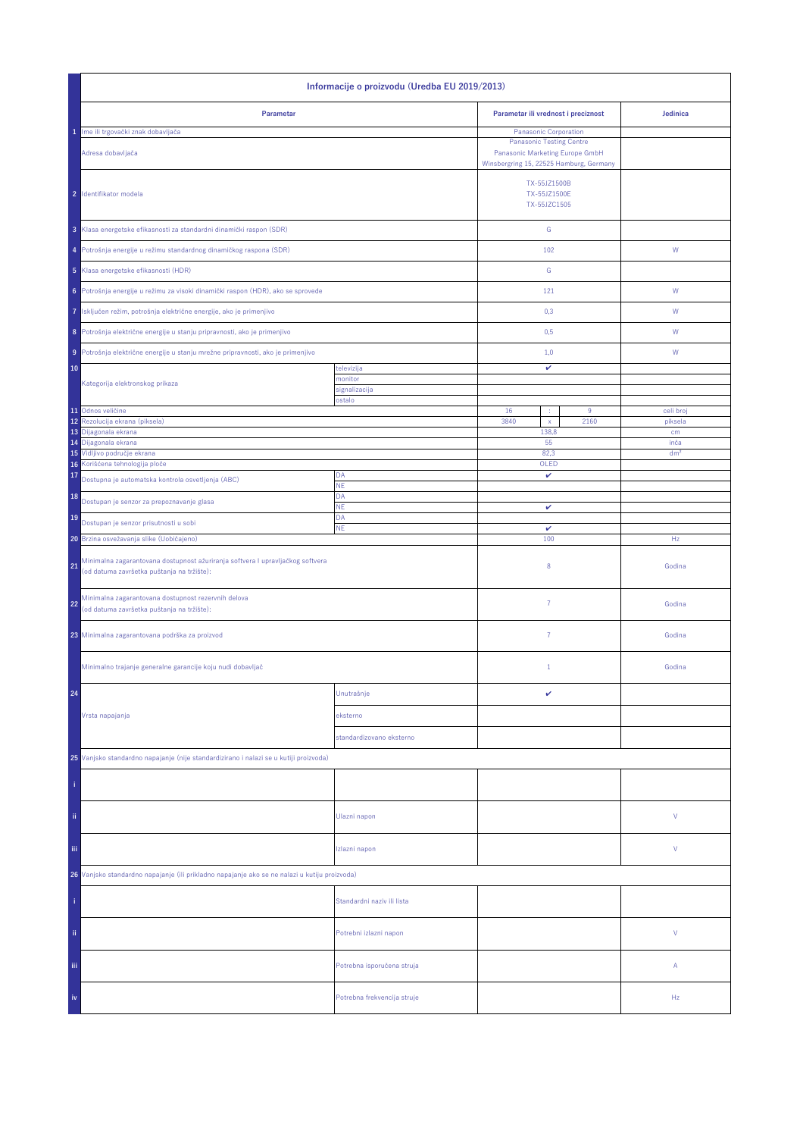| Informacije o proizvodu (Uredba EU 2019/2013)                                                                                                                  |                              |                                                                                                               |                 |  |  |
|----------------------------------------------------------------------------------------------------------------------------------------------------------------|------------------------------|---------------------------------------------------------------------------------------------------------------|-----------------|--|--|
| Parametar                                                                                                                                                      |                              | Parametar ili vrednost i preciznost                                                                           | Jedinica        |  |  |
| 1 Ime ili trgovački znak dobavljača                                                                                                                            |                              | Panasonic Corporation                                                                                         |                 |  |  |
| Adresa dobavljača                                                                                                                                              |                              | <b>Panasonic Testing Centre</b><br>Panasonic Marketing Europe GmbH<br>Winsbergring 15, 22525 Hamburg, Germany |                 |  |  |
| 2 Identifikator modela                                                                                                                                         |                              | TX-55JZ1500B<br>TX-55JZ1500E<br>TX-55JZC1505                                                                  |                 |  |  |
| 3 Klasa energetske efikasnosti za standardni dinamički raspon (SDR)                                                                                            |                              | ${\mathbb G}$                                                                                                 |                 |  |  |
| 4 Potrošnja energije u režimu standardnog dinamičkog raspona (SDR)                                                                                             |                              | 102                                                                                                           | W               |  |  |
| 5 Klasa energetske efikasnosti (HDR)                                                                                                                           |                              | G                                                                                                             |                 |  |  |
| 6 Potrošnja energije u režimu za visoki dinamički raspon (HDR), ako se sprovede                                                                                |                              | 121                                                                                                           | W               |  |  |
| Isključen režim, potrošnja električne energije, ako je primenjivo<br>7                                                                                         |                              | 0,3                                                                                                           | W               |  |  |
| 8 Potrošnja električne energije u stanju pripravnosti, ako je primenjivo<br>Potrošnja električne energije u stanju mrežne pripravnosti, ako je primenjivo<br>9 |                              | 0,5<br>1,0                                                                                                    | W<br>W          |  |  |
|                                                                                                                                                                |                              |                                                                                                               |                 |  |  |
| 10                                                                                                                                                             | televizija                   | v                                                                                                             |                 |  |  |
| Kategorija elektronskog prikaza                                                                                                                                | nonitor<br>signalizacija     |                                                                                                               |                 |  |  |
|                                                                                                                                                                | ostalo                       |                                                                                                               |                 |  |  |
| 11 Odnos veličine                                                                                                                                              |                              | 16<br>$\boldsymbol{9}$<br>÷                                                                                   | celi broj       |  |  |
| Rezolucija ekrana (piksela)<br>12                                                                                                                              | 3840<br>2160<br>$\mathsf{x}$ |                                                                                                               | piksela         |  |  |
| 13 Dijagonala ekrana                                                                                                                                           |                              | 138,8                                                                                                         | cm              |  |  |
| 14 Dijagonala ekrana                                                                                                                                           |                              | 55                                                                                                            | inča            |  |  |
| 15 Vidljivo područje ekrana                                                                                                                                    |                              | 82,3                                                                                                          | dm <sup>2</sup> |  |  |
| Korišćena tehnologija ploče<br>16                                                                                                                              | OLED                         |                                                                                                               |                 |  |  |
| 17<br>Dostupna je automatska kontrola osvetljenja (ABC)                                                                                                        | DA<br><b>NE</b>              | v                                                                                                             |                 |  |  |
| 18<br>Dostupan je senzor za prepoznavanje glasa                                                                                                                | DA<br>NE                     | v                                                                                                             |                 |  |  |
| 19<br>Dostupan je senzor prisutnosti u sobi                                                                                                                    | DA<br><b>NE</b>              | v                                                                                                             |                 |  |  |
| 20 Brzina osvežavanja slike (Uobičajeno)                                                                                                                       |                              | 100                                                                                                           | Hz              |  |  |
| Minimalna zagarantovana dostupnost ažuriranja softvera I upravljačkog softvera<br>21<br>(od datuma završetka puštanja na tržište):                             |                              | 8                                                                                                             | Godina          |  |  |
| Minimalna zagarantovana dostupnost rezervnih delova<br>22<br>(od datuma završetka puštanja na tržište):                                                        |                              | $\overline{7}$                                                                                                | Godina          |  |  |
| 23 Minimalna zagarantovana podrška za proizvod                                                                                                                 |                              | $\overline{7}$                                                                                                | Godina          |  |  |
| Minimalno trajanje generalne garancije koju nudi dobavljač                                                                                                     |                              | $\mathbf{1}$                                                                                                  | Godina          |  |  |
| 24                                                                                                                                                             | Unutrašnje                   | v                                                                                                             |                 |  |  |
| Vrsta napajanja                                                                                                                                                | eksterno                     |                                                                                                               |                 |  |  |
|                                                                                                                                                                | standardizovano eksterno     |                                                                                                               |                 |  |  |
| 25 Vanjsko standardno napajanje (nije standardizirano i nalazi se u kutiji proizvoda)                                                                          |                              |                                                                                                               |                 |  |  |
|                                                                                                                                                                |                              |                                                                                                               |                 |  |  |
| ii.                                                                                                                                                            | Ulazni napon                 |                                                                                                               | V               |  |  |
| Ϊij                                                                                                                                                            | Izlazni napon                |                                                                                                               | V               |  |  |
| 26 Vanjsko standardno napajanje (ili prikladno napajanje ako se ne nalazi u kutiju proizvoda)                                                                  |                              |                                                                                                               |                 |  |  |
|                                                                                                                                                                | Standardni naziv ili lista   |                                                                                                               |                 |  |  |
| ij,                                                                                                                                                            | Potrebni izlazni napon       |                                                                                                               | V               |  |  |
| iii                                                                                                                                                            | Potrebna isporučena struja   |                                                                                                               | Α               |  |  |
| iv                                                                                                                                                             | Potrebna frekvencija struje  |                                                                                                               | Hz              |  |  |